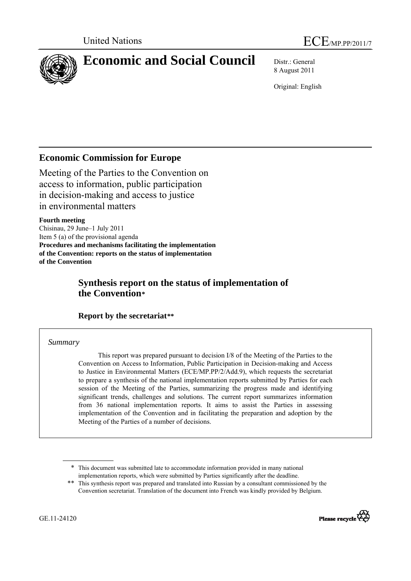<span id="page-0-0"></span>

# **Economic and Social Council** Distr.: General

8 August 2011

Original: English

# <span id="page-0-1"></span>**Economic Commission for Europe**

Meeting of the Parties to the Convention on access to information, public participation in decision-making and access to justice in environmental matters

## **Fourth meeting**

Сhisinau, 29 June–1 July 2011 Item 5 (a) of the provisional agenda **Procedures and mechanisms facilitating the implementation of the Convention: reports on the status of implementation of the Convention**

# **Synthesis report on the status of implementation of the Convention[\\*](#page-0-0)**

## **Report by the secretariat[\\*\\*](#page-0-1)**

## *Summary*

 This report was prepared pursuant to decision I/8 of the Meeting of the Parties to the Convention on Access to Information, Public Participation in Decision-making and Access to Justice in Environmental Matters (ECE/MP.PP/2/Add.9), which requests the secretariat to prepare a synthesis of the national implementation reports submitted by Parties for each session of the Meeting of the Parties, summarizing the progress made and identifying significant trends, challenges and solutions. The current report summarizes information from 36 national implementation reports. It aims to assist the Parties in assessing implementation of the Convention and in facilitating the preparation and adoption by the Meeting of the Parties of a number of decisions.

<sup>\*\*</sup> This synthesis report was prepared and translated into Russian by a consultant commissioned by the Convention secretariat. Translation of the document into French was kindly provided by Belgium.



<sup>\*</sup> This document was submitted late to accommodate information provided in many national implementation reports, which were submitted by Parties significantly after the deadline.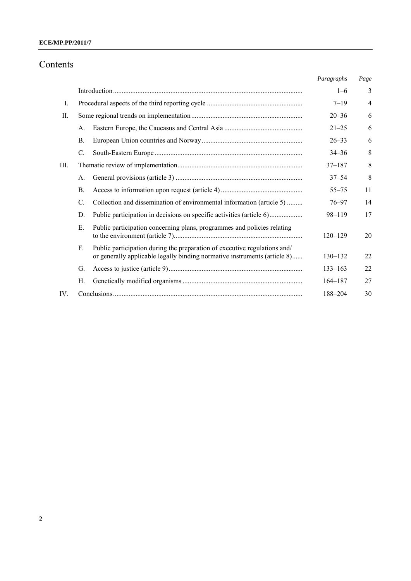# Contents

|      |                                                                                                                                                                       | Paragraphs  | Page           |
|------|-----------------------------------------------------------------------------------------------------------------------------------------------------------------------|-------------|----------------|
|      |                                                                                                                                                                       | $1 - 6$     | 3              |
| I.   |                                                                                                                                                                       | $7 - 19$    | $\overline{4}$ |
| II.  |                                                                                                                                                                       | $20 - 36$   | 6              |
|      | А.                                                                                                                                                                    | $21 - 25$   | 6              |
|      | Β.                                                                                                                                                                    | $26 - 33$   | 6              |
|      | $\mathbf{C}$ .                                                                                                                                                        | $34 - 36$   | 8              |
| III. |                                                                                                                                                                       | $37 - 187$  | 8              |
|      | A.                                                                                                                                                                    | $37 - 54$   | 8              |
|      | Β.                                                                                                                                                                    | $55 - 75$   | 11             |
|      | Collection and dissemination of environmental information (article 5)<br>C.                                                                                           | $76 - 97$   | 14             |
|      | Public participation in decisions on specific activities (article 6)<br>D.                                                                                            | 98-119      | 17             |
|      | Public participation concerning plans, programmes and policies relating<br>Е.                                                                                         | $120 - 129$ | 20             |
|      | Public participation during the preparation of executive regulations and/<br>$F_{\cdot}$<br>or generally applicable legally binding normative instruments (article 8) | $130 - 132$ | 22             |
|      | G.                                                                                                                                                                    | $133 - 163$ | 22             |
|      | Н.                                                                                                                                                                    | $164 - 187$ | 27             |
| IV.  |                                                                                                                                                                       | 188-204     | 30             |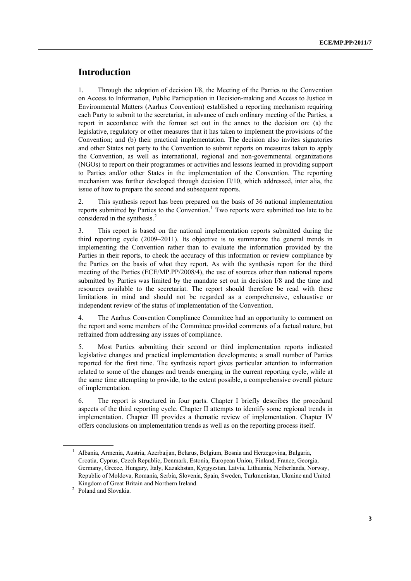## **Introduction**

1. Through the adoption of decision I/8, the Meeting of the Parties to the Convention on Access to Information, Public Participation in Decision-making and Access to Justice in Environmental Matters (Aarhus Convention) established a reporting mechanism requiring each Party to submit to the secretariat, in advance of each ordinary meeting of the Parties, a report in accordance with the format set out in the annex to the decision on: (a) the legislative, regulatory or other measures that it has taken to implement the provisions of the Convention; and (b) their practical implementation. The decision also invites signatories and other States not party to the Convention to submit reports on measures taken to apply the Convention, as well as international, regional and non-governmental organizations (NGOs) to report on their programmes or activities and lessons learned in providing support to Parties and/or other States in the implementation of the Convention. The reporting mechanism was further developed through decision II/10, which addressed, inter alia, the issue of how to prepare the second and subsequent reports.

2. This synthesis report has been prepared on the basis of 36 national implementation reports submitted by Parties to the Convention.<sup>[1](#page-2-0)</sup> Two reports were submitted too late to be considered in the synthesis. $<sup>2</sup>$  $<sup>2</sup>$  $<sup>2</sup>$ </sup>

3. This report is based on the national implementation reports submitted during the third reporting cycle (2009–2011). Its objective is to summarize the general trends in implementing the Convention rather than to evaluate the information provided by the Parties in their reports, to check the accuracy of this information or review compliance by the Parties on the basis of what they report. As with the synthesis report for the third meeting of the Parties (ECE/MP.PP/2008/4), the use of sources other than national reports submitted by Parties was limited by the mandate set out in decision I/8 and the time and resources available to the secretariat. The report should therefore be read with these limitations in mind and should not be regarded as a comprehensive, exhaustive or independent review of the status of implementation of the Convention.

4. The Aarhus Convention Compliance Committee had an opportunity to comment on the report and some members of the Committee provided comments of a factual nature, but refrained from addressing any issues of compliance.

5. Most Parties submitting their second or third implementation reports indicated legislative changes and practical implementation developments; a small number of Parties reported for the first time. The synthesis report gives particular attention to information related to some of the changes and trends emerging in the current reporting cycle, while at the same time attempting to provide, to the extent possible, a comprehensive overall picture of implementation.

6. The report is structured in four parts. Chapter I briefly describes the procedural aspects of the third reporting cycle. Chapter II attempts to identify some regional trends in implementation. Chapter III provides a thematic review of implementation. Chapter IV offers conclusions on implementation trends as well as on the reporting process itself.

<span id="page-2-0"></span><sup>&</sup>lt;sup>1</sup> Albania, Armenia, Austria, Azerbaijan, Belarus, Belgium, Bosnia and Herzegovina, Bulgaria, Croatia, Cyprus, Czech Republic, Denmark, Estonia, European Union, Finland, France, Georgia, Germany, Greece, Hungary, Italy, Kazakhstan, Kyrgyzstan, Latvia, Lithuania, Netherlands, Norway, Republic of Moldova, Romania, Serbia, Slovenia, Spain, Sweden, Turkmenistan, Ukraine and United Kingdom of Great Britain and Northern Ireland.<br><sup>2</sup> Baland and Slavakie.

Poland and Slovakia.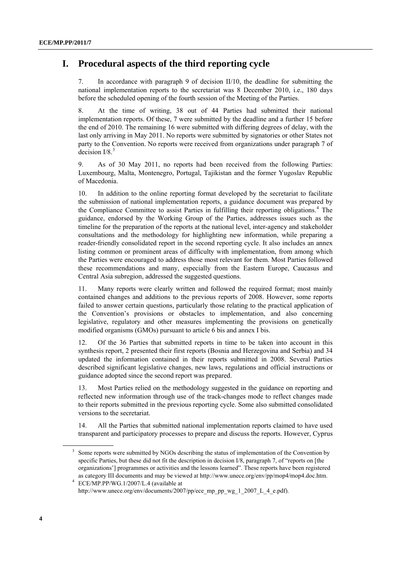# **I. Procedural aspects of the third reporting cycle**

7. In accordance with paragraph 9 of decision II/10, the deadline for submitting the national implementation reports to the secretariat was 8 December 2010, i.e., 180 days before the scheduled opening of the fourth session of the Meeting of the Parties.

8. At the time of writing, 38 out of 44 Parties had submitted their national implementation reports. Of these, 7 were submitted by the deadline and a further 15 before the end of 2010. The remaining 16 were submitted with differing degrees of delay, with the last only arriving in May 2011. No reports were submitted by signatories or other States not party to the Convention. No reports were received from organizations under paragraph 7 of decision  $I/8$ <sup>[3](#page-3-0)</sup>

9. As of 30 May 2011, no reports had been received from the following Parties: Luxembourg, Malta, Montenegro, Portugal, Tajikistan and the former Yugoslav Republic of Macedonia.

10. In addition to the online reporting format developed by the secretariat to facilitate the submission of national implementation reports, a guidance document was prepared by the Compliance Committee to assist Parties in fulfilling their reporting obligations.<sup>[4](#page-3-0)</sup> The guidance, endorsed by the Working Group of the Parties, addresses issues such as the timeline for the preparation of the reports at the national level, inter-agency and stakeholder consultations and the methodology for highlighting new information, while preparing a reader-friendly consolidated report in the second reporting cycle. It also includes an annex listing common or prominent areas of difficulty with implementation, from among which the Parties were encouraged to address those most relevant for them. Most Parties followed these recommendations and many, especially from the Eastern Europe, Caucasus and Central Asia subregion, addressed the suggested questions.

11. Many reports were clearly written and followed the required format; most mainly contained changes and additions to the previous reports of 2008. However, some reports failed to answer certain questions, particularly those relating to the practical application of the Convention's provisions or obstacles to implementation, and also concerning legislative, regulatory and other measures implementing the provisions on genetically modified organisms (GMOs) pursuant to article 6 bis and annex I bis.

12. Of the 36 Parties that submitted reports in time to be taken into account in this synthesis report, 2 presented their first reports (Bosnia and Herzegovina and Serbia) and 34 updated the information contained in their reports submitted in 2008. Several Parties described significant legislative changes, new laws, regulations and official instructions or guidance adopted since the second report was prepared.

13. Most Parties relied on the methodology suggested in the guidance on reporting and reflected new information through use of the track-changes mode to reflect changes made to their reports submitted in the previous reporting cycle. Some also submitted consolidated versions to the secretariat.

14. All the Parties that submitted national implementation reports claimed to have used transparent and participatory processes to prepare and discuss the reports. However, Cyprus

<span id="page-3-0"></span><sup>&</sup>lt;sup>3</sup> Some reports were submitted by NGOs describing the status of implementation of the Convention by specific Parties, but these did not fit the description in decision I/8, paragraph 7, of "reports on [the organizations'] programmes or activities and the lessons learned". These reports have been registered as category III documents and may be viewed at [http://www.unece.org/env/pp/mop4/mop4.doc.htm.](http://www.unece.org/env/pp/mop4/mop4.doc.htm) 4

ECE/MP.PP/WG.1/2007/L.4 (available at [http://www.unece.org/env/documents/2007/pp/ece\\_mp\\_pp\\_wg\\_1\\_2007\\_L\\_4\\_e.pdf\)](http://www.unece.org/env/documents/2007/pp/ece_mp_pp_wg_1_2007_L_4_e.pdf).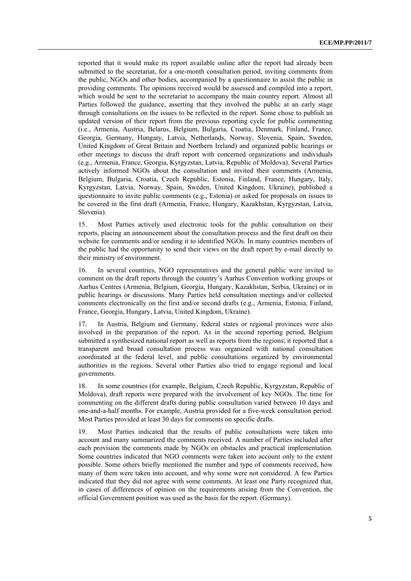reported that it would make its report available online after the report had already been submitted to the secretariat, for a one-month consultation period, inviting comments from the public, NGOs and other bodies, accompanied by a questionnaire to assist the public in providing comments. The opinions received would be assessed and compiled into a report, which would be sent to the secretariat to accompany the main country report. Almost all Parties followed the guidance, asserting that they involved the public at an early stage through consultations on the issues to be reflected in the report. Some chose to publish an updated version of their report from the previous reporting cycle for public commenting (i.e., Armenia, Austria, Belarus, Belgium, Bulgaria, Croatia, Denmark, Finland, France, Georgia, Germany, Hungary, Latvia, Netherlands, Norway, Slovenia, Spain, Sweden, United Kingdom of Great Britain and Northern Ireland) and organized public hearings or other meetings to discuss the draft report with concerned organizations and individuals (e.g., Armenia, France, Georgia, Kyrgyzstan, Latvia, Republic of Moldova). Several Parties actively informed NGOs about the consultation and invited their comments (Armenia, Belgium, Bulgaria, Croatia, Czech Republic, Estonia, Finland, France, Hungary, Italy, Kyrgyzstan, Latvia, Norway, Spain, Sweden, United Kingdom, Ukraine), published a questionnaire to invite public comments (e.g., Estonia) or asked for proposals on issues to be covered in the first draft (Armenia, France, Hungary, Kazakhstan, Kyrgyzstan, Latvia, Slovenia).

15. Most Parties actively used electronic tools for the public consultation on their reports, placing an announcement about the consultation process and the first draft on their website for comments and/or sending it to identified NGOs. In many countries members of the public had the opportunity to send their views on the draft report by e-mail directly to their ministry of environment.

16. In several countries, NGO representatives and the general public were invited to comment on the draft reports through the country's Aarhus Convention working groups or Aarhus Centres (Armenia, Belgium, Georgia, Hungary, Kazakhstan, Serbia, Ukraine) or in public hearings or discussions. Many Parties held consultation meetings and/or collected comments electronically on the first and/or second drafts (e.g., Armenia, Estonia, Finland, France, Georgia, Hungary, Latvia, United Kingdom, Ukraine).

17. In Austria, Belgium and Germany, federal states or regional provinces were also involved in the preparation of the report. As in the second reporting period, Belgium submitted a synthesized national report as well as reports from the regions; it reported that a transparent and broad consultation process was organized with national consultation coordinated at the federal level, and public consultations organized by environmental authorities in the regions. Several other Parties also tried to engage regional and local governments.

18. In some countries (for example, Belgium, Czech Republic, Kyrgyzstan, Republic of Moldova), draft reports were prepared with the involvement of key NGOs. The time for commenting on the different drafts during public consultation varied between 10 days and one-and-a-half months. For example, Austria provided for a five-week consultation period. Most Parties provided at least 30 days for comments on specific drafts.

19. Most Parties indicated that the results of public consultations were taken into account and many summarized the comments received. A number of Parties included after each provision the comments made by NGOs on obstacles and practical implementation. Some countries indicated that NGO comments were taken into account only to the extent possible. Some others briefly mentioned the number and type of comments received, how many of them were taken into account, and why some were not considered. A few Parties indicated that they did not agree with some comments. At least one Party recognized that, in cases of differences of opinion on the requirements arising from the Convention, the official Government position was used as the basis for the report. (Germany).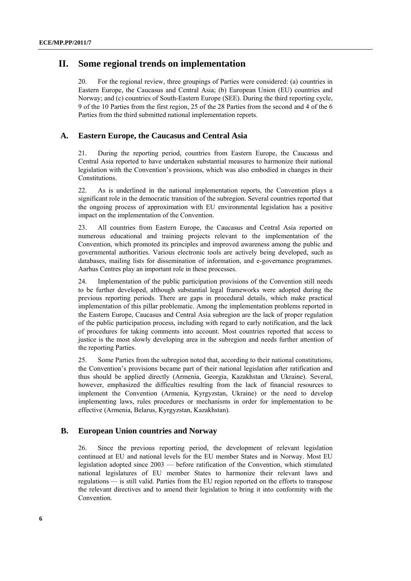## **II. Some regional trends on implementation**

20. For the regional review, three groupings of Parties were considered: (a) countries in Eastern Europe, the Caucasus and Central Asia; (b) European Union (EU) countries and Norway; and (c) countries of South-Eastern Europe (SEE). During the third reporting cycle, 9 of the 10 Parties from the first region, 25 of the 28 Parties from the second and 4 of the 6 Parties from the third submitted national implementation reports.

## **A. Eastern Europe, the Caucasus and Central Asia**

21. During the reporting period, countries from Eastern Europe, the Caucasus and Central Asia reported to have undertaken substantial measures to harmonize their national legislation with the Convention's provisions, which was also embodied in changes in their Constitutions.

22. As is underlined in the national implementation reports, the Convention plays a significant role in the democratic transition of the subregion. Several countries reported that the ongoing process of approximation with EU environmental legislation has a positive impact on the implementation of the Convention.

23. All countries from Eastern Europe, the Caucasus and Central Asia reported on numerous educational and training projects relevant to the implementation of the Convention, which promoted its principles and improved awareness among the public and governmental authorities. Various electronic tools are actively being developed, such as databases, mailing lists for dissemination of information, and e-governance programmes. Aarhus Centres play an important role in these processes.

24. Implementation of the public participation provisions of the Convention still needs to be further developed, although substantial legal frameworks were adopted during the previous reporting periods. There are gaps in procedural details, which make practical implementation of this pillar problematic. Among the implementation problems reported in the Eastern Europe, Caucasus and Central Asia subregion are the lack of proper regulation of the public participation process, including with regard to early notification, and the lack of procedures for taking comments into account. Most countries reported that access to justice is the most slowly developing area in the subregion and needs further attention of the reporting Parties.

25. Some Parties from the subregion noted that, according to their national constitutions, the Convention's provisions became part of their national legislation after ratification and thus should be applied directly (Armenia, Georgia, Kazakhstan and Ukraine). Several, however, emphasized the difficulties resulting from the lack of financial resources to implement the Convention (Armenia, Kyrgyzstan, Ukraine) or the need to develop implementing laws, rules procedures or mechanisms in order for implementation to be effective (Armenia, Belarus, Kyrgyzstan, Kazakhstan).

## **B. European Union countries and Norway**

26. Since the previous reporting period, the development of relevant legislation continued at EU and national levels for the EU member States and in Norway. Most EU legislation adopted since 2003 — before ratification of the Convention, which stimulated national legislatures of EU member States to harmonize their relevant laws and regulations — is still valid. Parties from the EU region reported on the efforts to transpose the relevant directives and to amend their legislation to bring it into conformity with the Convention.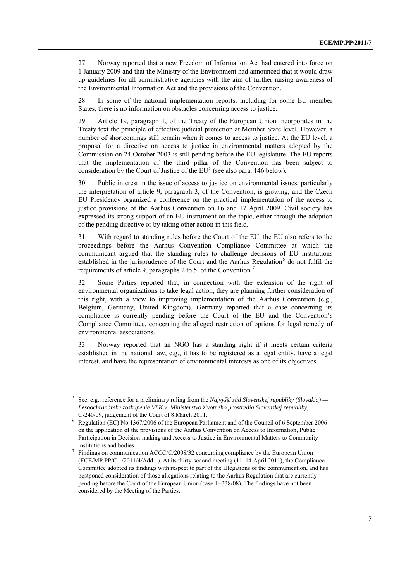27. Norway reported that a new Freedom of Information Act had entered into force on 1 January 2009 and that the Ministry of the Environment had announced that it would draw up guidelines for all administrative agencies with the aim of further raising awareness of the Environmental Information Act and the provisions of the Convention.

28. In some of the national implementation reports, including for some EU member States, there is no information on obstacles concerning access to justice.

29. Article 19, paragraph 1, of the Treaty of the European Union incorporates in the Treaty text the principle of effective judicial protection at Member State level. However, a number of shortcomings still remain when it comes to access to justice. At the EU level, a proposal for a directive on access to justice in environmental matters adopted by the Commission on 24 October 2003 is still pending before the EU legislature. The EU reports that the implementation of the third pillar of the Convention has been subject to consideration by the Court of Justice of the  $EU<sup>5</sup>$  $EU<sup>5</sup>$  $EU<sup>5</sup>$  (see also para. 146 below).

30. Public interest in the issue of access to justice on environmental issues, particularly the interpretation of article 9, paragraph 3, of the Convention, is growing, and the Czech EU Presidency organized a conference on the practical implementation of the access to justice provisions of the Aarhus Convention on 16 and 17 April 2009. Civil society has expressed its strong support of an EU instrument on the topic, either through the adoption of the pending directive or by taking other action in this field.

31. With regard to standing rules before the Court of the EU, the EU also refers to the proceedings before the Aarhus Convention Compliance Committee at which the communicant argued that the standing rules to challenge decisions of EU institutions established in the jurisprudence of the Court and the Aarhus Regulation<sup>[6](#page-6-0)</sup> do not fulfil the requirements of article 9, paragraphs 2 to 5, of the Convention.<sup>[7](#page-6-0)</sup>

32. Some Parties reported that, in connection with the extension of the right of environmental organizations to take legal action, they are planning further consideration of this right, with a view to improving implementation of the Aarhus Convention (e.g., Belgium, Germany, United Kingdom). Germany reported that a case concerning its compliance is currently pending before the Court of the EU and the Convention's Compliance Committee, concerning the alleged restriction of options for legal remedy of environmental associations.

33. Norway reported that an NGO has a standing right if it meets certain criteria established in the national law, e.g., it has to be registered as a legal entity, have a legal interest, and have the representation of environmental interests as one of its objectives.

<sup>5</sup> See, e.g., reference for a preliminary ruling from the *Najvyšší súd Slovenskej republiky (Slovakia) — Lesoochranárske zoskupenie VLK v. Ministerstvo životného prostredia Slovenskej republiky*,

C-240/09, judgement of the Court of 8 March 2011.<br>
<sup>6</sup> Regulation (EC) No 1367/2006 of the European Parliament and of the Council of 6 September 2006 on the application of the provisions of the Aarhus Convention on Access to Information, Public Participation in Decision-making and Access to Justice in Environmental Matters to Community institutions and bodies. 7

<span id="page-6-0"></span>Findings on communication ACCC/C/2008/32 concerning compliance by the European Union (ECE/MP.PP/C.1/2011/4/Add.1). At its thirty-second meeting (11–14 April 2011), the Compliance Committee adopted its findings with respect to part of the allegations of the communication, and has postponed consideration of those allegations relating to the Aarhus Regulation that are currently pending before the Court of the European Union (case T–338/08). The findings have not been considered by the Meeting of the Parties.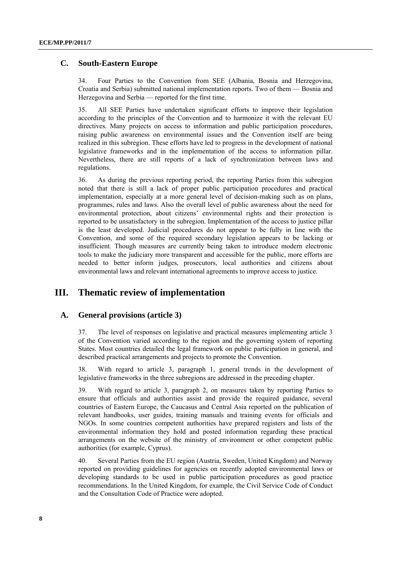## **C. South-Eastern Europe**

34. Four Parties to the Convention from SEE (Albania, Bosnia and Herzegovina, Croatia and Serbia) submitted national implementation reports. Two of them — Bosnia and Herzegovina and Serbia — reported for the first time.

35. All SEE Parties have undertaken significant efforts to improve their legislation according to the principles of the Convention and to harmonize it with the relevant EU directives. Many projects on access to information and public participation procedures, raising public awareness on environmental issues and the Convention itself are being realized in this subregion. These efforts have led to progress in the development of national legislative frameworks and in the implementation of the access to information pillar. Nevertheless, there are still reports of a lack of synchronization between laws and regulations.

36. As during the previous reporting period, the reporting Parties from this subregion noted that there is still a lack of proper public participation procedures and practical implementation, especially at a more general level of decision-making such as on plans, programmes, rules and laws. Also the overall level of public awareness about the need for environmental protection, about citizens' environmental rights and their protection is reported to be unsatisfactory in the subregion. Implementation of the access to justice pillar is the least developed. Judicial procedures do not appear to be fully in line with the Convention, and some of the required secondary legislation appears to be lacking or insufficient. Though measures are currently being taken to introduce modern electronic tools to make the judiciary more transparent and accessible for the public, more efforts are needed to better inform judges, prosecutors, local authorities and citizens about environmental laws and relevant international agreements to improve access to justice.

## **III. Thematic review of implementation**

## **A. General provisions (article 3)**

37. The level of responses on legislative and practical measures implementing article 3 of the Convention varied according to the region and the governing system of reporting States. Most countries detailed the legal framework on public participation in general, and described practical arrangements and projects to promote the Convention.

38. With regard to article 3, paragraph 1, general trends in the development of legislative frameworks in the three subregions are addressed in the preceding chapter.

39. With regard to article 3, paragraph 2, on measures taken by reporting Parties to ensure that officials and authorities assist and provide the required guidance, several countries of Eastern Europe, the Caucasus and Central Asia reported on the publication of relevant handbooks, user guides, training manuals and training events for officials and NGOs. In some countries competent authorities have prepared registers and lists of the environmental information they hold and posted information regarding these practical arrangements on the website of the ministry of environment or other competent public authorities (for example, Cyprus).

40. Several Parties from the EU region (Austria, Sweden, United Kingdom) and Norway reported on providing guidelines for agencies on recently adopted environmental laws or developing standards to be used in public participation procedures as good practice recommendations. In the United Kingdom, for example, the Civil Service Code of Conduct and the Consultation Code of Practice were adopted.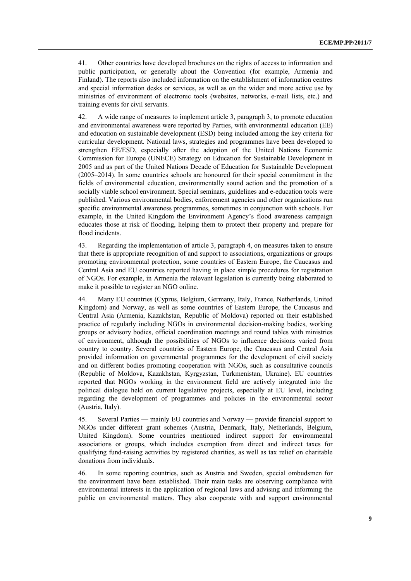41. Other countries have developed brochures on the rights of access to information and public participation, or generally about the Convention (for example, Armenia and Finland). The reports also included information on the establishment of information centres and special information desks or services, as well as on the wider and more active use by ministries of environment of electronic tools (websites, networks, e-mail lists, etc.) and training events for civil servants.

42. A wide range of measures to implement article 3, paragraph 3, to promote education and environmental awareness were reported by Parties, with environmental education (EE) and education on sustainable development (ESD) being included among the key criteria for curricular development. National laws, strategies and programmes have been developed to strengthen EE/ESD, especially after the adoption of the United Nations Economic Commission for Europe (UNECE) Strategy on Education for Sustainable Development in 2005 and as part of the United Nations Decade of Education for Sustainable Development (2005–2014). In some countries schools are honoured for their special commitment in the fields of environmental education, environmentally sound action and the promotion of a socially viable school environment. Special seminars, guidelines and e-education tools were published. Various environmental bodies, enforcement agencies and other organizations run specific environmental awareness programmes, sometimes in conjunction with schools. For example, in the United Kingdom the Environment Agency's flood awareness campaign educates those at risk of flooding, helping them to protect their property and prepare for flood incidents.

43. Regarding the implementation of article 3, paragraph 4, on measures taken to ensure that there is appropriate recognition of and support to associations, organizations or groups promoting environmental protection, some countries of Eastern Europe, the Caucasus and Central Asia and EU countries reported having in place simple procedures for registration of NGOs. For example, in Armenia the relevant legislation is currently being elaborated to make it possible to register an NGO online.

44. Many EU countries (Cyprus, Belgium, Germany, Italy, France, Netherlands, United Kingdom) and Norway, as well as some countries of Eastern Europe, the Caucasus and Central Asia (Armenia, Kazakhstan, Republic of Moldova) reported on their established practice of regularly including NGOs in environmental decision-making bodies, working groups or advisory bodies, official coordination meetings and round tables with ministries of environment, although the possibilities of NGOs to influence decisions varied from country to country. Several countries of Eastern Europe, the Caucasus and Central Asia provided information on governmental programmes for the development of civil society and on different bodies promoting cooperation with NGOs, such as consultative councils (Republic of Moldova, Kazakhstan, Kyrgyzstan, Turkmenistan, Ukraine). EU countries reported that NGOs working in the environment field are actively integrated into the political dialogue held on current legislative projects, especially at EU level, including regarding the development of programmes and policies in the environmental sector (Austria, Italy).

45. Several Parties — mainly EU countries and Norway — provide financial support to NGOs under different grant schemes (Austria, Denmark, Italy, Netherlands, Belgium, United Kingdom). Some countries mentioned indirect support for environmental associations or groups, which includes exemption from direct and indirect taxes for qualifying fund-raising activities by registered charities, as well as tax relief on charitable donations from individuals.

46. In some reporting countries, such as Austria and Sweden, special ombudsmen for the environment have been established. Their main tasks are observing compliance with environmental interests in the application of regional laws and advising and informing the public on environmental matters. They also cooperate with and support environmental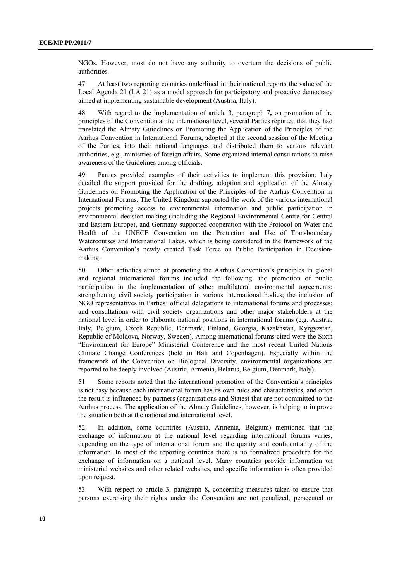NGOs. However, most do not have any authority to overturn the decisions of public authorities.

47. At least two reporting countries underlined in their national reports the value of the Local Agenda 21 (LA 21) as a model approach for participatory and proactive democracy aimed at implementing sustainable development (Austria, Italy).

48. With regard to the implementation of article 3, paragraph 7**,** on promotion of the principles of the Convention at the international level, several Parties reported that they had translated the Almaty Guidelines on Promoting the Application of the Principles of the Aarhus Convention in International Forums, adopted at the second session of the Meeting of the Parties, into their national languages and distributed them to various relevant authorities, e.g., ministries of foreign affairs. Some organized internal consultations to raise awareness of the Guidelines among officials.

49. Parties provided examples of their activities to implement this provision. Italy detailed the support provided for the drafting, adoption and application of the Almaty Guidelines on Promoting the Application of the Principles of the Aarhus Convention in International Forums. The United Kingdom supported the work of the various international projects promoting access to environmental information and public participation in environmental decision-making (including the Regional Environmental Centre for Central and Eastern Europe), and Germany supported cooperation with the Protocol on Water and Health of the UNECE Convention on the Protection and Use of Transboundary Watercourses and International Lakes, which is being considered in the framework of the Aarhus Convention's newly created Task Force on Public Participation in Decisionmaking.

50. Other activities aimed at promoting the Aarhus Convention's principles in global and regional international forums included the following: the promotion of public participation in the implementation of other multilateral environmental agreements; strengthening civil society participation in various international bodies; the inclusion of NGO representatives in Parties' official delegations to international forums and processes; and consultations with civil society organizations and other major stakeholders at the national level in order to elaborate national positions in international forums (e.g. Austria, Italy, Belgium, Czech Republic, Denmark, Finland, Georgia, Kazakhstan, Kyrgyzstan, Republic of Moldova, Norway, Sweden). Among international forums cited were the Sixth "Environment for Europe" Ministerial Conference and the most recent United Nations Climate Change Conferences (held in Bali and Copenhagen). Especially within the framework of the Convention on Biological Diversity, environmental organizations are reported to be deeply involved (Austria, Armenia, Belarus, Belgium, Denmark, Italy).

51. Some reports noted that the international promotion of the Convention's principles is not easy because each international forum has its own rules and characteristics, and often the result is influenced by partners (organizations and States) that are not committed to the Aarhus process. The application of the Almaty Guidelines, however, is helping to improve the situation both at the national and international level.

52. In addition, some countries (Austria, Armenia, Belgium) mentioned that the exchange of information at the national level regarding international forums varies, depending on the type of international forum and the quality and confidentiality of the information. In most of the reporting countries there is no formalized procedure for the exchange of information on a national level. Many countries provide information on ministerial websites and other related websites, and specific information is often provided upon request.

53. With respect to article 3, paragraph 8**,** concerning measures taken to ensure that persons exercising their rights under the Convention are not penalized, persecuted or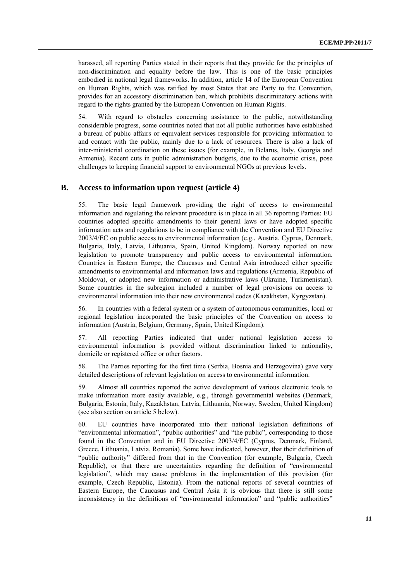harassed, all reporting Parties stated in their reports that they provide for the principles of non-discrimination and equality before the law. This is one of the basic principles embodied in national legal frameworks. In addition, article 14 of the European Convention on Human Rights, which was ratified by most States that are Party to the Convention, provides for an accessory discrimination ban, which prohibits discriminatory actions with regard to the rights granted by the European Convention on Human Rights.

54. With regard to obstacles concerning assistance to the public, notwithstanding considerable progress, some countries noted that not all public authorities have established a bureau of public affairs or equivalent services responsible for providing information to and contact with the public, mainly due to a lack of resources. There is also a lack of inter-ministerial coordination on these issues (for example, in Belarus, Italy, Georgia and Armenia). Recent cuts in public administration budgets, due to the economic crisis, pose challenges to keeping financial support to environmental NGOs at previous levels.

#### **B. Access to information upon request (article 4)**

55. The basic legal framework providing the right of access to environmental information and regulating the relevant procedure is in place in all 36 reporting Parties: EU countries adopted specific amendments to their general laws or have adopted specific information acts and regulations to be in compliance with the Convention and EU Directive 2003/4/EC on public access to environmental information (e.g., Austria, Cyprus, Denmark, Bulgaria, Italy, Latvia, Lithuania, Spain, United Kingdom). Norway reported on new legislation to promote transparency and public access to environmental information. Countries in Eastern Europe, the Caucasus and Central Asia introduced either specific amendments to environmental and information laws and regulations (Armenia, Republic of Moldova), or adopted new information or administrative laws (Ukraine, Turkmenistan). Some countries in the subregion included a number of legal provisions on access to environmental information into their new environmental codes (Kazakhstan, Kyrgyzstan).

56. In countries with a federal system or a system of autonomous communities, local or regional legislation incorporated the basic principles of the Convention on access to information (Austria, Belgium, Germany, Spain, United Kingdom).

57. All reporting Parties indicated that under national legislation access to environmental information is provided without discrimination linked to nationality, domicile or registered office or other factors.

58. The Parties reporting for the first time (Serbia, Bosnia and Herzegovina) gave very detailed descriptions of relevant legislation on access to environmental information.

59. Almost all countries reported the active development of various electronic tools to make information more easily available, e.g., through governmental websites (Denmark, Bulgaria, Estonia, Italy, Kazakhstan, Latvia, Lithuania, Norway, Sweden, United Kingdom) (see also section on article 5 below).

60. EU countries have incorporated into their national legislation definitions of "environmental information", "public authorities" and "the public", corresponding to those found in the Convention and in EU Directive 2003/4/EC (Cyprus, Denmark, Finland, Greece, Lithuania, Latvia, Romania). Some have indicated, however, that their definition of "public authority" differed from that in the Convention (for example, Bulgaria, Czech Republic), or that there are uncertainties regarding the definition of "environmental legislation", which may cause problems in the implementation of this provision (for example, Czech Republic, Estonia). From the national reports of several countries of Eastern Europe, the Caucasus and Central Asia it is obvious that there is still some inconsistency in the definitions of "environmental information" and "public authorities"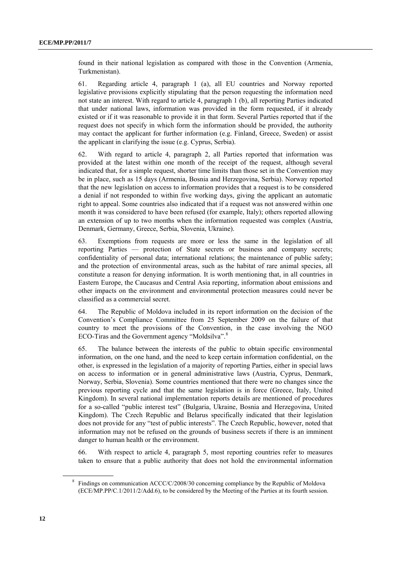found in their national legislation as compared with those in the Convention (Armenia, Turkmenistan).

61. Regarding article 4, paragraph 1 (a), all EU countries and Norway reported legislative provisions explicitly stipulating that the person requesting the information need not state an interest. With regard to article 4, paragraph 1 (b), all reporting Parties indicated that under national laws, information was provided in the form requested, if it already existed or if it was reasonable to provide it in that form. Several Parties reported that if the request does not specify in which form the information should be provided, the authority may contact the applicant for further information (e.g. Finland, Greece, Sweden) or assist the applicant in clarifying the issue (e.g. Cyprus, Serbia).

62. With regard to article 4, paragraph 2, all Parties reported that information was provided at the latest within one month of the receipt of the request, although several indicated that, for a simple request, shorter time limits than those set in the Convention may be in place, such as 15 days (Armenia, Bosnia and Herzegovina, Serbia). Norway reported that the new legislation on access to information provides that a request is to be considered a denial if not responded to within five working days, giving the applicant an automatic right to appeal. Some countries also indicated that if a request was not answered within one month it was considered to have been refused (for example, Italy); others reported allowing an extension of up to two months when the information requested was complex (Austria, Denmark, Germany, Greece, Serbia, Slovenia, Ukraine).

63. Exemptions from requests are more or less the same in the legislation of all reporting Parties — protection of State secrets or business and company secrets; confidentiality of personal data; international relations; the maintenance of public safety; and the protection of environmental areas, such as the habitat of rare animal species, all constitute a reason for denying information. It is worth mentioning that, in all countries in Eastern Europe, the Caucasus and Central Asia reporting, information about emissions and other impacts on the environment and environmental protection measures could never be classified as a commercial secret.

64. The Republic of Moldova included in its report information on the decision of the Convention's Compliance Committee from 25 September 2009 on the failure of that country to meet the provisions of the Convention, in the case involving the NGO ECO-Tiras and the Government agency "Moldsilva".<sup>[8](#page-11-0)</sup>

65. The balance between the interests of the public to obtain specific environmental information, on the one hand, and the need to keep certain information confidential, on the other, is expressed in the legislation of a majority of reporting Parties, either in special laws on access to information or in general administrative laws (Austria, Cyprus, Denmark, Norway, Serbia, Slovenia). Some countries mentioned that there were no changes since the previous reporting cycle and that the same legislation is in force (Greece, Italy, United Kingdom). In several national implementation reports details are mentioned of procedures for a so-called "public interest test" (Bulgaria, Ukraine, Bosnia and Herzegovina, United Kingdom). The Czech Republic and Belarus specifically indicated that their legislation does not provide for any "test of public interests". The Czech Republic, however, noted that information may not be refused on the grounds of business secrets if there is an imminent danger to human health or the environment.

<span id="page-11-0"></span>66. With respect to article 4, paragraph 5, most reporting countries refer to measures taken to ensure that a public authority that does not hold the environmental information

<sup>&</sup>lt;sup>8</sup> Findings on communication ACCC/C/2008/30 concerning compliance by the Republic of Moldova (ECE/MP.PP/C.1/2011/2/Add.6), to be considered by the Meeting of the Parties at its fourth session.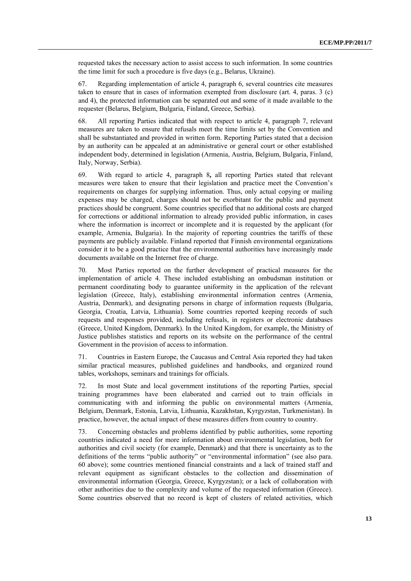requested takes the necessary action to assist access to such information. In some countries the time limit for such a procedure is five days (e.g., Belarus, Ukraine).

67. Regarding implementation of article 4, paragraph 6, several countries cite measures taken to ensure that in cases of information exempted from disclosure (art. 4, paras. 3 (c) and 4), the protected information can be separated out and some of it made available to the requester (Belarus, Belgium, Bulgaria, Finland, Greece, Serbia).

68. All reporting Parties indicated that with respect to article 4, paragraph 7, relevant measures are taken to ensure that refusals meet the time limits set by the Convention and shall be substantiated and provided in written form. Reporting Parties stated that a decision by an authority can be appealed at an administrative or general court or other established independent body, determined in legislation (Armenia, Austria, Belgium, Bulgaria, Finland, Italy, Norway, Serbia).

69. With regard to article 4, paragraph 8**,** all reporting Parties stated that relevant measures were taken to ensure that their legislation and practice meet the Convention's requirements on charges for supplying information. Thus, only actual copying or mailing expenses may be charged, charges should not be exorbitant for the public and payment practices should be congruent. Some countries specified that no additional costs are charged for corrections or additional information to already provided public information, in cases where the information is incorrect or incomplete and it is requested by the applicant (for example, Armenia, Bulgaria). In the majority of reporting countries the tariffs of these payments are publicly available. Finland reported that Finnish environmental organizations consider it to be a good practice that the environmental authorities have increasingly made documents available on the Internet free of charge.

70. Most Parties reported on the further development of practical measures for the implementation of article 4. These included establishing an ombudsman institution or permanent coordinating body to guarantee uniformity in the application of the relevant legislation (Greece, Italy), establishing environmental information centres (Armenia, Austria, Denmark), and designating persons in charge of information requests (Bulgaria, Georgia, Croatia, Latvia, Lithuania). Some countries reported keeping records of such requests and responses provided, including refusals, in registers or electronic databases (Greece, United Kingdom, Denmark). In the United Kingdom, for example, the Ministry of Justice publishes statistics and reports on its website on the performance of the central Government in the provision of access to information.

71. Countries in Eastern Europe, the Caucasus and Central Asia reported they had taken similar practical measures, published guidelines and handbooks, and organized round tables, workshops, seminars and trainings for officials.

72. In most State and local government institutions of the reporting Parties, special training programmes have been elaborated and carried out to train officials in communicating with and informing the public on environmental matters (Armenia, Belgium, Denmark, Estonia, Latvia, Lithuania, Kazakhstan, Kyrgyzstan, Turkmenistan). In practice, however, the actual impact of these measures differs from country to country.

73. Concerning obstacles and problems identified by public authorities, some reporting countries indicated a need for more information about environmental legislation, both for authorities and civil society (for example, Denmark) and that there is uncertainty as to the definitions of the terms "public authority" or "environmental information" (see also para. 60 above); some countries mentioned financial constraints and a lack of trained staff and relevant equipment as significant obstacles to the collection and dissemination of environmental information (Georgia, Greece, Kyrgyzstan); or a lack of collaboration with other authorities due to the complexity and volume of the requested information (Greece). Some countries observed that no record is kept of clusters of related activities, which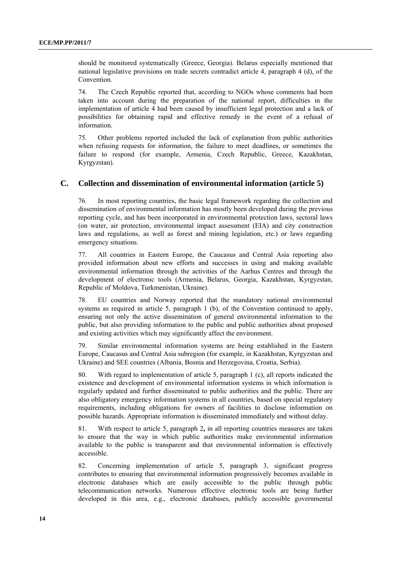should be monitored systematically (Greece, Georgia). Belarus especially mentioned that national legislative provisions on trade secrets contradict article 4, paragraph 4 (d), of the Convention.

74. The Czech Republic reported that, according to NGOs whose comments had been taken into account during the preparation of the national report, difficulties in the implementation of article 4 had been caused by insufficient legal protection and a lack of possibilities for obtaining rapid and effective remedy in the event of a refusal of information.

75. Other problems reported included the lack of explanation from public authorities when refusing requests for information, the failure to meet deadlines, or sometimes the failure to respond (for example, Armenia, Czech Republic, Greece, Kazakhstan, Kyrgyzstan).

## **C. Collection and dissemination of environmental information (article 5)**

76. In most reporting countries, the basic legal framework regarding the collection and dissemination of environmental information has mostly been developed during the previous reporting cycle, and has been incorporated in environmental protection laws, sectoral laws (on water, air protection, environmental impact assessment (EIA) and city construction laws and regulations, as well as forest and mining legislation, etc.) or laws regarding emergency situations.

77. All countries in Eastern Europe, the Caucasus and Central Asia reporting also provided information about new efforts and successes in using and making available environmental information through the activities of the Aarhus Centres and through the development of electronic tools (Armenia, Belarus, Georgia, Kazakhstan, Kyrgyzstan, Republic of Moldova, Turkmenistan, Ukraine).

78. EU countries and Norway reported that the mandatory national environmental systems as required in article 5, paragraph 1 (b), of the Convention continued to apply, ensuring not only the active dissemination of general environmental information to the public, but also providing information to the public and public authorities about proposed and existing activities which may significantly affect the environment.

79. Similar environmental information systems are being established in the Eastern Europe, Caucasus and Central Asia subregion (for example, in Kazakhstan, Kyrgyzstan and Ukraine) and SEE countries (Albania, Bosnia and Herzegovina, Croatia, Serbia).

80. With regard to implementation of article 5, paragraph 1 (c), all reports indicated the existence and development of environmental information systems in which information is regularly updated and further disseminated to public authorities and the public. There are also obligatory emergency information systems in all countries, based on special regulatory requirements, including obligations for owners of facilities to disclose information on possible hazards. Appropriate information is disseminated immediately and without delay.

81. With respect to article 5, paragraph 2**,** in all reporting countries measures are taken to ensure that the way in which public authorities make environmental information available to the public is transparent and that environmental information is effectively accessible.

82. Concerning implementation of article 5, paragraph 3, significant progress contributes to ensuring that environmental information progressively becomes available in electronic databases which are easily accessible to the public through public telecommunication networks. Numerous effective electronic tools are being further developed in this area, e.g., electronic databases, publicly accessible governmental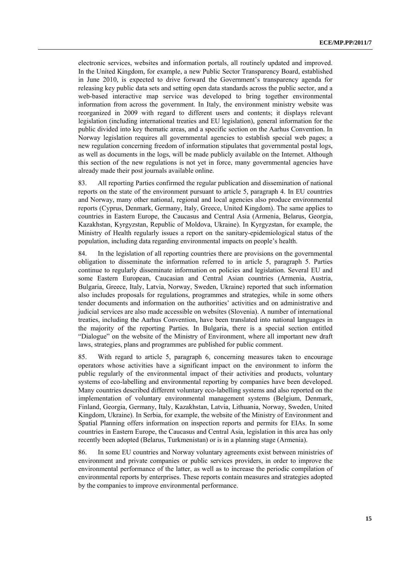electronic services, websites and information portals, all routinely updated and improved. In the United Kingdom, for example, a new Public Sector Transparency Board, established in June 2010, is expected to drive forward the Government's transparency agenda for releasing key public data sets and setting open data standards across the public sector, and a web-based interactive map service was developed to bring together environmental information from across the government. In Italy, the environment ministry website was reorganized in 2009 with regard to different users and contents; it displays relevant legislation (including international treaties and EU legislation), general information for the public divided into key thematic areas, and a specific section on the Aarhus Convention. In Norway legislation requires all governmental agencies to establish special web pages; a new regulation concerning freedom of information stipulates that governmental postal logs, as well as documents in the logs, will be made publicly available on the Internet. Although this section of the new regulations is not yet in force, many governmental agencies have already made their post journals available online.

83. All reporting Parties confirmed the regular publication and dissemination of national reports on the state of the environment pursuant to article 5, paragraph 4. In EU countries and Norway, many other national, regional and local agencies also produce environmental reports (Cyprus, Denmark, Germany, Italy, Greece, United Kingdom). The same applies to countries in Eastern Europe, the Caucasus and Central Asia (Armenia, Belarus, Georgia, Kazakhstan, Kyrgyzstan, Republic of Moldova, Ukraine). In Kyrgyzstan, for example, the Ministry of Health regularly issues a report on the sanitary-epidemiological status of the population, including data regarding environmental impacts on people's health.

84. In the legislation of all reporting countries there are provisions on the governmental obligation to disseminate the information referred to in article 5, paragraph 5. Parties continue to regularly disseminate information on policies and legislation. Several EU and some Eastern European, Caucasian and Central Asian countries (Armenia, Austria, Bulgaria, Greece, Italy, Latvia, Norway, Sweden, Ukraine) reported that such information also includes proposals for regulations, programmes and strategies, while in some others tender documents and information on the authorities' activities and on administrative and judicial services are also made accessible on websites (Slovenia). A number of international treaties, including the Aarhus Convention, have been translated into national languages in the majority of the reporting Parties. In Bulgaria, there is a special section entitled "Dialogue" on the website of the Ministry of Environment, where all important new draft laws, strategies, plans and programmes are published for public comment.

85. With regard to article 5, paragraph 6, concerning measures taken to encourage operators whose activities have a significant impact on the environment to inform the public regularly of the environmental impact of their activities and products, voluntary systems of eco-labelling and environmental reporting by companies have been developed. Many countries described different voluntary eco-labelling systems and also reported on the implementation of voluntary environmental management systems (Belgium, Denmark, Finland, Georgia, Germany, Italy, Kazakhstan, Latvia, Lithuania, Norway, Sweden, United Kingdom, Ukraine). In Serbia, for example, the website of the Ministry of Environment and Spatial Planning offers information on inspection reports and permits for EIAs. In some countries in Eastern Europe, the Caucasus and Central Asia, legislation in this area has only recently been adopted (Belarus, Turkmenistan) or is in a planning stage (Armenia).

86. In some EU countries and Norway voluntary agreements exist between ministries of environment and private companies or public services providers, in order to improve the environmental performance of the latter, as well as to increase the periodic compilation of environmental reports by enterprises. These reports contain measures and strategies adopted by the companies to improve environmental performance.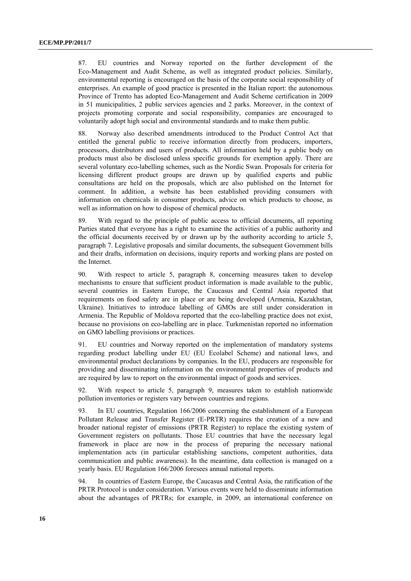87. EU countries and Norway reported on the further development of the Eco-Management and Audit Scheme, as well as integrated product policies. Similarly, environmental reporting is encouraged on the basis of the corporate social responsibility of enterprises. An example of good practice is presented in the Italian report: the autonomous Province of Trento has adopted Eco-Management and Audit Scheme certification in 2009 in 51 municipalities, 2 public services agencies and 2 parks. Moreover, in the context of projects promoting corporate and social responsibility, companies are encouraged to voluntarily adopt high social and environmental standards and to make them public.

88. Norway also described amendments introduced to the Product Control Act that entitled the general public to receive information directly from producers, importers, processors, distributors and users of products. All information held by a public body on products must also be disclosed unless specific grounds for exemption apply. There are several voluntary eco-labelling schemes, such as the Nordic Swan. Proposals for criteria for licensing different product groups are drawn up by qualified experts and public consultations are held on the proposals, which are also published on the Internet for comment. In addition, a website has been established providing consumers with information on chemicals in consumer products, advice on which products to choose, as well as information on how to dispose of chemical products.

89. With regard to the principle of public access to official documents, all reporting Parties stated that everyone has a right to examine the activities of a public authority and the official documents received by or drawn up by the authority according to article 5, paragraph 7. Legislative proposals and similar documents, the subsequent Government bills and their drafts, information on decisions, inquiry reports and working plans are posted on the Internet.

90. With respect to article 5, paragraph 8, concerning measures taken to develop mechanisms to ensure that sufficient product information is made available to the public, several countries in Eastern Europe, the Caucasus and Central Asia reported that requirements on food safety are in place or are being developed (Armenia, Kazakhstan, Ukraine). Initiatives to introduce labelling of GMOs are still under consideration in Armenia. The Republic of Moldova reported that the eco-labelling practice does not exist, because no provisions on eco-labelling are in place. Turkmenistan reported no information on GMO labelling provisions or practices.

91. EU countries and Norway reported on the implementation of mandatory systems regarding product labelling under EU (EU Ecolabel Scheme) and national laws, and environmental product declarations by companies. In the EU, producers are responsible for providing and disseminating information on the environmental properties of products and are required by law to report on the environmental impact of goods and services.

92. With respect to article 5, paragraph 9, measures taken to establish nationwide pollution inventories or registers vary between countries and regions.

93. In EU countries, Regulation 166/2006 concerning the establishment of a European Pollutant Release and Transfer Register (E-PRTR) requires the creation of a new and broader national register of emissions (PRTR Register) to replace the existing system of Government registers on pollutants. Those EU countries that have the necessary legal framework in place are now in the process of preparing the necessary national implementation acts (in particular establishing sanctions, competent authorities, data communication and public awareness). In the meantime, data collection is managed on a yearly basis. EU Regulation 166/2006 foresees annual national reports.

94. In countries of Eastern Europe, the Caucasus and Central Asia, the ratification of the PRTR Protocol is under consideration. Various events were held to disseminate information about the advantages of PRTRs; for example, in 2009, an international conference on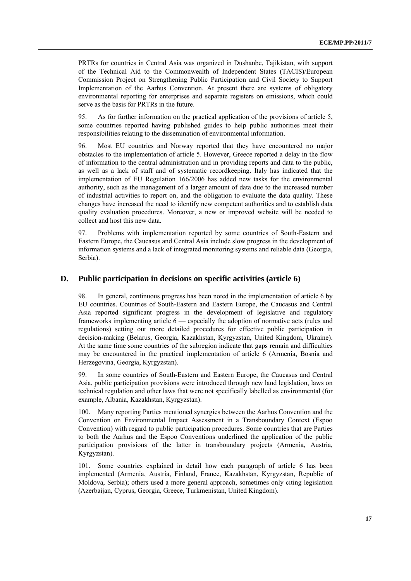PRTRs for countries in Central Asia was organized in Dushanbe, Tajikistan, with support of the Technical Aid to the Commonwealth of Independent States (TACIS)/European Commission Project on Strengthening Public Participation and Civil Society to Support Implementation of the Aarhus Convention. At present there are systems of obligatory environmental reporting for enterprises and separate registers on emissions, which could serve as the basis for PRTRs in the future.

95. As for further information on the practical application of the provisions of article 5, some countries reported having published guides to help public authorities meet their responsibilities relating to the dissemination of environmental information.

96. Most EU countries and Norway reported that they have encountered no major obstacles to the implementation of article 5. However, Greece reported a delay in the flow of information to the central administration and in providing reports and data to the public, as well as a lack of staff and of systematic recordkeeping. Italy has indicated that the implementation of EU Regulation 166/2006 has added new tasks for the environmental authority, such as the management of a larger amount of data due to the increased number of industrial activities to report on, and the obligation to evaluate the data quality. These changes have increased the need to identify new competent authorities and to establish data quality evaluation procedures. Moreover, a new or improved website will be needed to collect and host this new data.

97. Problems with implementation reported by some countries of South-Eastern and Eastern Europe, the Caucasus and Central Asia include slow progress in the development of information systems and a lack of integrated monitoring systems and reliable data (Georgia, Serbia).

## **D. Public participation in decisions on specific activities (article 6)**

98. In general, continuous progress has been noted in the implementation of article 6 by EU countries. Countries of South-Eastern and Eastern Europe, the Caucasus and Central Asia reported significant progress in the development of legislative and regulatory frameworks implementing article 6 — especially the adoption of normative acts (rules and regulations) setting out more detailed procedures for effective public participation in decision-making (Belarus, Georgia, Kazakhstan, Kyrgyzstan, United Kingdom, Ukraine). At the same time some countries of the subregion indicate that gaps remain and difficulties may be encountered in the practical implementation of article 6 (Armenia, Bosnia and Herzegovina, Georgia, Kyrgyzstan).

99. In some countries of South-Eastern and Eastern Europe, the Caucasus and Central Asia, public participation provisions were introduced through new land legislation, laws on technical regulation and other laws that were not specifically labelled as environmental (for example, Albania, Kazakhstan, Kyrgyzstan).

100. Many reporting Parties mentioned synergies between the Aarhus Convention and the Convention on Environmental Impact Assessment in a Transboundary Context (Espoo Convention) with regard to public participation procedures. Some countries that are Parties to both the Aarhus and the Espoo Conventions underlined the application of the public participation provisions of the latter in transboundary projects (Armenia, Austria, Kyrgyzstan).

101. Some countries explained in detail how each paragraph of article 6 has been implemented (Armenia, Austria, Finland, France, Kazakhstan, Kyrgyzstan, Republic of Moldova, Serbia); others used a more general approach, sometimes only citing legislation (Azerbaijan, Cyprus, Georgia, Greece, Turkmenistan, United Kingdom).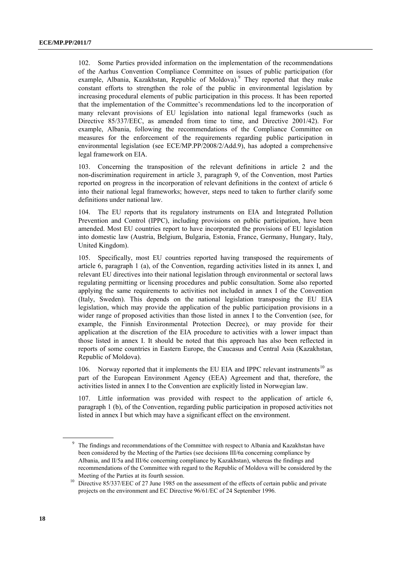102. Some Parties provided information on the implementation of the recommendations of the Aarhus Convention Compliance Committee on issues of public participation (for example, Albania, Kazakhstan, Republic of Moldova).<sup>[9](#page-17-0)</sup> They reported that they make constant efforts to strengthen the role of the public in environmental legislation by increasing procedural elements of public participation in this process. It has been reported that the implementation of the Committee's recommendations led to the incorporation of many relevant provisions of EU legislation into national legal frameworks (such as Directive 85/337/EEC, as amended from time to time, and Directive 2001/42). For example, Albania, following the recommendations of the Compliance Committee on measures for the enforcement of the requirements regarding public participation in environmental legislation (see ECE/MP.PP/2008/2/Add.9), has adopted a comprehensive legal framework on EIA.

103. Concerning the transposition of the relevant definitions in article 2 and the non-discrimination requirement in article 3, paragraph 9, of the Convention, most Parties reported on progress in the incorporation of relevant definitions in the context of article 6 into their national legal frameworks; however, steps need to taken to further clarify some definitions under national law.

104. The EU reports that its regulatory instruments on EIA and Integrated Pollution Prevention and Control (IPPC), including provisions on public participation, have been amended. Most EU countries report to have incorporated the provisions of EU legislation into domestic law (Austria, Belgium, Bulgaria, Estonia, France, Germany, Hungary, Italy, United Kingdom).

105. Specifically, most EU countries reported having transposed the requirements of article 6, paragraph 1 (a), of the Convention, regarding activities listed in its annex I, and relevant EU directives into their national legislation through environmental or sectoral laws regulating permitting or licensing procedures and public consultation. Some also reported applying the same requirements to activities not included in annex I of the Convention (Italy, Sweden). This depends on the national legislation transposing the EU EIA legislation, which may provide the application of the public participation provisions in a wider range of proposed activities than those listed in annex I to the Convention (see, for example, the Finnish Environmental Protection Decree), or may provide for their application at the discretion of the EIA procedure to activities with a lower impact than those listed in annex I. It should be noted that this approach has also been reflected in reports of some countries in Eastern Europe, the Caucasus and Central Asia (Kazakhstan, Republic of Moldova).

[10](#page-17-0)6. Norway reported that it implements the EU EIA and IPPC relevant instruments<sup>10</sup> as part of the European Environment Agency (EEA) Agreement and that, therefore, the activities listed in annex I to the Convention are explicitly listed in Norwegian law.

107. Little information was provided with respect to the application of article 6, paragraph 1 (b), of the Convention, regarding public participation in proposed activities not listed in annex I but which may have a significant effect on the environment.

<span id="page-17-0"></span><sup>&</sup>lt;sup>9</sup> The findings and recommendations of the Committee with respect to Albania and Kazakhstan have been considered by the Meeting of the Parties (see decisions III/6a concerning compliance by Albania, and II/5a and III/6c concerning compliance by Kazakhstan), whereas the findings and recommendations of the Committee with regard to the Republic of Moldova will be considered by the

Meeting of the Parties at its fourth session.<br><sup>10</sup> Directive 85/337/EEC of 27 June 1985 on the assessment of the effects of certain public and private projects on the environment and EC Directive 96/61/EC of 24 September 1996.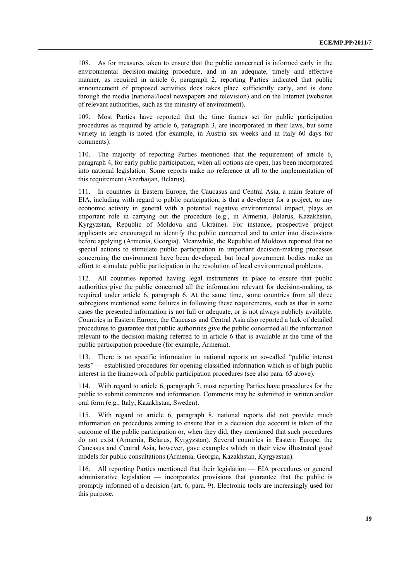108. As for measures taken to ensure that the public concerned is informed early in the environmental decision-making procedure, and in an adequate, timely and effective manner, as required in article 6, paragraph 2, reporting Parties indicated that public announcement of proposed activities does takes place sufficiently early, and is done through the media (national/local newspapers and television) and on the Internet (websites of relevant authorities, such as the ministry of environment).

109. Most Parties have reported that the time frames set for public participation procedures as required by article 6, paragraph 3, are incorporated in their laws, but some variety in length is noted (for example, in Austria six weeks and in Italy 60 days for comments).

110. The majority of reporting Parties mentioned that the requirement of article 6, paragraph 4, for early public participation, when all options are open, has been incorporated into national legislation. Some reports make no reference at all to the implementation of this requirement (Azerbaijan, Belarus).

111. In countries in Eastern Europe, the Caucasus and Central Asia, a main feature of EIA, including with regard to public participation, is that a developer for a project, or any economic activity in general with a potential negative environmental impact, plays an important role in carrying out the procedure (e.g., in Armenia, Belarus, Kazakhstan, Kyrgyzstan, Republic of Moldova and Ukraine). For instance, prospective project applicants are encouraged to identify the public concerned and to enter into discussions before applying (Armenia, Georgia). Meanwhile, the Republic of Moldova reported that no special actions to stimulate public participation in important decision-making processes concerning the environment have been developed, but local government bodies make an effort to stimulate public participation in the resolution of local environmental problems.

112. All countries reported having legal instruments in place to ensure that public authorities give the public concerned all the information relevant for decision-making, as required under article 6, paragraph 6. At the same time, some countries from all three subregions mentioned some failures in following these requirements, such as that in some cases the presented information is not full or adequate, or is not always publicly available. Countries in Eastern Europe, the Caucasus and Central Asia also reported a lack of detailed procedures to guarantee that public authorities give the public concerned all the information relevant to the decision-making referred to in article 6 that is available at the time of the public participation procedure (for example, Armenia).

113. There is no specific information in national reports on so-called "public interest tests" — established procedures for opening classified information which is of high public interest in the framework of public participation procedures (see also para. 65 above).

114. With regard to article 6, paragraph 7, most reporting Parties have procedures for the public to submit comments and information. Comments may be submitted in written and/or oral form (e.g., Italy, Kazakhstan, Sweden).

115. With regard to article 6, paragraph 8, national reports did not provide much information on procedures aiming to ensure that in a decision due account is taken of the outcome of the public participation or, when they did, they mentioned that such procedures do not exist (Armenia, Belarus, Kyrgyzstan). Several countries in Eastern Europe, the Caucasus and Central Asia, however, gave examples which in their view illustrated good models for public consultations (Armenia, Georgia, Kazakhstan, Kyrgyzstan).

116. All reporting Parties mentioned that their legislation — EIA procedures or general administrative legislation — incorporates provisions that guarantee that the public is promptly informed of a decision (art. 6, para. 9). Electronic tools are increasingly used for this purpose.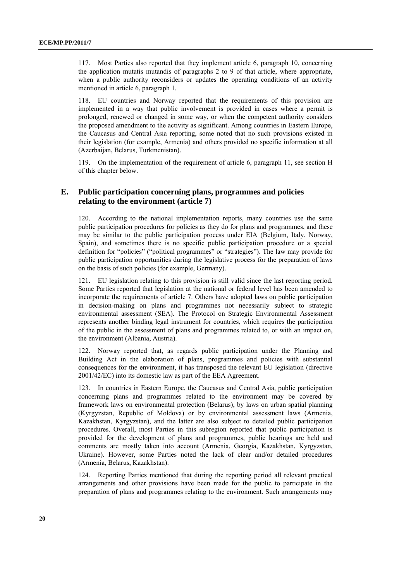117. Most Parties also reported that they implement article 6, paragraph 10, concerning the application mutatis mutandis of paragraphs 2 to 9 of that article, where appropriate, when a public authority reconsiders or updates the operating conditions of an activity mentioned in article 6, paragraph 1.

118. EU countries and Norway reported that the requirements of this provision are implemented in a way that public involvement is provided in cases where a permit is prolonged, renewed or changed in some way, or when the competent authority considers the proposed amendment to the activity as significant. Among countries in Eastern Europe, the Caucasus and Central Asia reporting, some noted that no such provisions existed in their legislation (for example, Armenia) and others provided no specific information at all (Azerbaijan, Belarus, Turkmenistan).

119. On the implementation of the requirement of article 6, paragraph 11, see section H of this chapter below.

## **E. Public participation concerning plans, programmes and policies relating to the environment (article 7)**

120. According to the national implementation reports, many countries use the same public participation procedures for policies as they do for plans and programmes, and these may be similar to the public participation process under EIA (Belgium, Italy, Norway, Spain), and sometimes there is no specific public participation procedure or a special definition for "policies" ("political programmes" or "strategies"). The law may provide for public participation opportunities during the legislative process for the preparation of laws on the basis of such policies (for example, Germany).

121. EU legislation relating to this provision is still valid since the last reporting period. Some Parties reported that legislation at the national or federal level has been amended to incorporate the requirements of article 7. Others have adopted laws on public participation in decision-making on plans and programmes not necessarily subject to strategic environmental assessment (SEA). The Protocol on Strategic Environmental Assessment represents another binding legal instrument for countries, which requires the participation of the public in the assessment of plans and programmes related to, or with an impact on, the environment (Albania, Austria).

122. Norway reported that, as regards public participation under the Planning and Building Act in the elaboration of plans, programmes and policies with substantial consequences for the environment, it has transposed the relevant EU legislation (directive 2001/42/EC) into its domestic law as part of the EEA Agreement.

123. In countries in Eastern Europe, the Caucasus and Central Asia, public participation concerning plans and programmes related to the environment may be covered by framework laws on environmental protection (Belarus), by laws on urban spatial planning (Kyrgyzstan, Republic of Moldova) or by environmental assessment laws (Armenia, Kazakhstan, Kyrgyzstan), and the latter are also subject to detailed public participation procedures. Overall, most Parties in this subregion reported that public participation is provided for the development of plans and programmes, public hearings are held and comments are mostly taken into account (Armenia, Georgia, Kazakhstan, Kyrgyzstan, Ukraine). However, some Parties noted the lack of clear and/or detailed procedures (Armenia, Belarus, Kazakhstan).

124. Reporting Parties mentioned that during the reporting period all relevant practical arrangements and other provisions have been made for the public to participate in the preparation of plans and programmes relating to the environment. Such arrangements may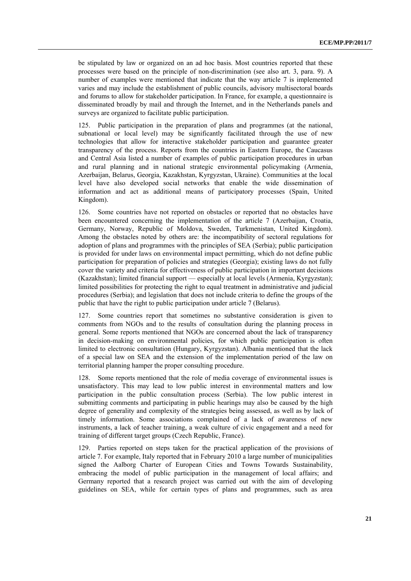be stipulated by law or organized on an ad hoc basis. Most countries reported that these processes were based on the principle of non-discrimination (see also art. 3, para. 9). A number of examples were mentioned that indicate that the way article 7 is implemented varies and may include the establishment of public councils, advisory multisectoral boards and forums to allow for stakeholder participation. In France, for example, a questionnaire is disseminated broadly by mail and through the Internet, and in the Netherlands panels and surveys are organized to facilitate public participation.

125. Public participation in the preparation of plans and programmes (at the national, subnational or local level) may be significantly facilitated through the use of new technologies that allow for interactive stakeholder participation and guarantee greater transparency of the process. Reports from the countries in Eastern Europe, the Caucasus and Central Asia listed a number of examples of public participation procedures in urban and rural planning and in national strategic environmental policymaking (Armenia, Azerbaijan, Belarus, Georgia, Kazakhstan, Kyrgyzstan, Ukraine). Communities at the local level have also developed social networks that enable the wide dissemination of information and act as additional means of participatory processes (Spain, United Kingdom).

126. Some countries have not reported on obstacles or reported that no obstacles have been encountered concerning the implementation of the article 7 (Azerbaijan, Croatia, Germany, Norway, Republic of Moldova, Sweden, Turkmenistan, United Kingdom). Among the obstacles noted by others are: the incompatibility of sectoral regulations for adoption of plans and programmes with the principles of SEA (Serbia); public participation is provided for under laws on environmental impact permitting, which do not define public participation for preparation of policies and strategies (Georgia); existing laws do not fully cover the variety and criteria for effectiveness of public participation in important decisions (Kazakhstan); limited financial support — especially at local levels (Armenia, Kyrgyzstan); limited possibilities for protecting the right to equal treatment in administrative and judicial procedures (Serbia); and legislation that does not include criteria to define the groups of the public that have the right to public participation under article 7 (Belarus).

127. Some countries report that sometimes no substantive consideration is given to comments from NGOs and to the results of consultation during the planning process in general. Some reports mentioned that NGOs are concerned about the lack of transparency in decision-making on environmental policies, for which public participation is often limited to electronic consultation (Hungary, Kyrgyzstan). Albania mentioned that the lack of a special law on SEA and the extension of the implementation period of the law on territorial planning hamper the proper consulting procedure.

128. Some reports mentioned that the role of media coverage of environmental issues is unsatisfactory. This may lead to low public interest in environmental matters and low participation in the public consultation process (Serbia). The low public interest in submitting comments and participating in public hearings may also be caused by the high degree of generality and complexity of the strategies being assessed, as well as by lack of timely information. Some associations complained of a lack of awareness of new instruments, a lack of teacher training, a weak culture of civic engagement and a need for training of different target groups (Czech Republic, France).

129. Parties reported on steps taken for the practical application of the provisions of article 7. For example, Italy reported that in February 2010 a large number of municipalities signed the Aalborg Charter of European Cities and Towns Towards Sustainability, embracing the model of public participation in the management of local affairs; and Germany reported that a research project was carried out with the aim of developing guidelines on SEA, while for certain types of plans and programmes, such as area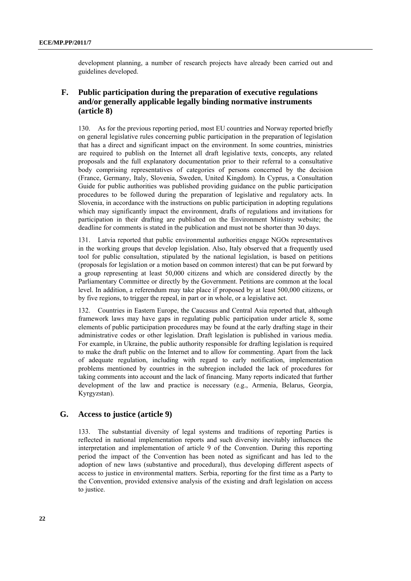development planning, a number of research projects have already been carried out and guidelines developed.

## **F. Public participation during the preparation of executive regulations and/or generally applicable legally binding normative instruments (article 8)**

130. As for the previous reporting period, most EU countries and Norway reported briefly on general legislative rules concerning public participation in the preparation of legislation that has a direct and significant impact on the environment. In some countries, ministries are required to publish on the Internet all draft legislative texts, concepts, any related proposals and the full explanatory documentation prior to their referral to a consultative body comprising representatives of categories of persons concerned by the decision (France, Germany, Italy, Slovenia, Sweden, United Kingdom). In Cyprus, a Consultation Guide for public authorities was published providing guidance on the public participation procedures to be followed during the preparation of legislative and regulatory acts. In Slovenia, in accordance with the [instructions on public participation in adopting regulations](http://www.mop.gov.si/fileadmin/mop.gov.si/pageuploads/zakonodaja/okolje/navodilo_okoljski_predpisi.pdf)  [which may significantly impact the environment,](http://www.mop.gov.si/fileadmin/mop.gov.si/pageuploads/zakonodaja/okolje/navodilo_okoljski_predpisi.pdf) drafts of regulations and invitations for participation in their drafting are published on the Environment Ministry website; the deadline for comments is stated in the publication and must not be shorter than 30 days.

131. Latvia reported that public environmental authorities engage NGOs representatives in the working groups that develop legislation. Also, Italy observed that a frequently used tool for public consultation, stipulated by the national legislation, is based on petitions (proposals for legislation or a motion based on common interest) that can be put forward by a group representing at least 50,000 citizens and which are considered directly by the Parliamentary Committee or directly by the Government. Petitions are common at the local level. In addition, a referendum may take place if proposed by at least 500,000 citizens, or by five regions, to trigger the repeal, in part or in whole, or a legislative act.

132. Countries in Eastern Europe, the Caucasus and Central Asia reported that, although framework laws may have gaps in regulating public participation under article 8, some elements of public participation procedures may be found at the early drafting stage in their administrative codes or other legislation. Draft legislation is published in various media. For example, in Ukraine, the public authority responsible for drafting legislation is required to make the draft public on the Internet and to allow for commenting. Apart from the lack of adequate regulation, including with regard to early notification, implementation problems mentioned by countries in the subregion included the lack of procedures for taking comments into account and the lack of financing. Many reports indicated that further development of the law and practice is necessary (e.g., Armenia, Belarus, Georgia, Kyrgyzstan).

## **G. Access to justice (article 9)**

133. The substantial diversity of legal systems and traditions of reporting Parties is reflected in national implementation reports and such diversity inevitably influences the interpretation and implementation of article 9 of the Convention. During this reporting period the impact of the Convention has been noted as significant and has led to the adoption of new laws (substantive and procedural), thus developing different aspects of access to justice in environmental matters. Serbia, reporting for the first time as a Party to the Convention, provided extensive analysis of the existing and draft legislation on access to justice.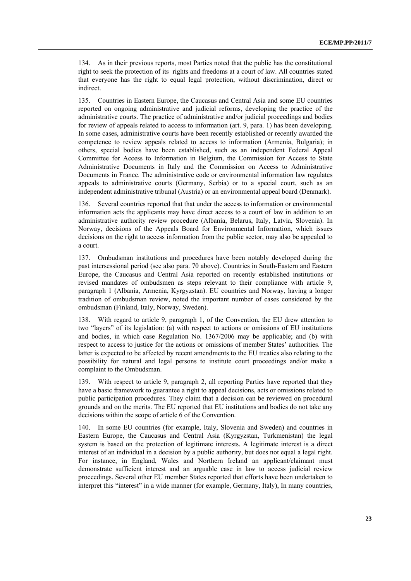134. As in their previous reports, most Parties noted that the public has the constitutional right to seek the protection of its rights and freedoms at a court of law. All countries stated that everyone has the right to equal legal protection, without discrimination, direct or indirect.

135. Countries in Eastern Europe, the Caucasus and Central Asia and some EU countries reported on ongoing administrative and judicial reforms, developing the practice of the administrative courts. The practice of administrative and/or judicial proceedings and bodies for review of appeals related to access to information (art. 9, para. 1) has been developing. In some cases, administrative courts have been recently established or recently awarded the competence to review appeals related to access to information (Armenia, Bulgaria); in others, special bodies have been established, such as an independent Federal Appeal Committee for Access to Information in Belgium, the Commission for Access to State Administrative Documents in Italy and the Commission on Access to Administrative Documents in France. The administrative code or environmental information law regulates appeals to administrative courts (Germany, Serbia) or to a special court, such as an independent administrative tribunal (Austria) or an environmental appeal board (Denmark).

136. Several countries reported that that under the access to information or environmental information acts the applicants may have direct access to a court of law in addition to an administrative authority review procedure (Albania, Belarus, Italy, Latvia, Slovenia). In Norway, decisions of the Appeals Board for Environmental Information, which issues decisions on the right to access information from the public sector, may also be appealed to a court.

137. Ombudsman institutions and procedures have been notably developed during the past intersessional period (see also para. 70 above). Countries in South-Eastern and Eastern Europe, the Caucasus and Central Asia reported on recently established institutions or revised mandates of ombudsmen as steps relevant to their compliance with article 9, paragraph 1 (Albania, Armenia, Kyrgyzstan). EU countries and Norway, having a longer tradition of ombudsman review, noted the important number of cases considered by the ombudsman (Finland, Italy, Norway, Sweden).

138. With regard to article 9, paragraph 1, of the Convention, the EU drew attention to two "layers" of its legislation: (a) with respect to actions or omissions of EU institutions and bodies, in which case Regulation No. 1367/2006 may be applicable; and (b) with respect to access to justice for the actions or omissions of member States' authorities. The latter is expected to be affected by recent amendments to the EU treaties also relating to the possibility for natural and legal persons to institute court proceedings and/or make a complaint to the Ombudsman.

139. With respect to article 9, paragraph 2, all reporting Parties have reported that they have a basic framework to guarantee a right to appeal decisions, acts or omissions related to public participation procedures. They claim that a decision can be reviewed on procedural grounds and on the merits. The EU reported that EU institutions and bodies do not take any decisions within the scope of article 6 of the Convention.

140. In some EU countries (for example, Italy, Slovenia and Sweden) and countries in Eastern Europe, the Caucasus and Central Asia (Kyrgyzstan, Turkmenistan) the legal system is based on the protection of legitimate interests. A legitimate interest is a direct interest of an individual in a decision by a public authority, but does not equal a legal right. For instance, in England, Wales and Northern Ireland an applicant/claimant must demonstrate sufficient interest and an arguable case in law to access judicial review proceedings. Several other EU member States reported that efforts have been undertaken to interpret this "interest" in a wide manner (for example, Germany, Italy), In many countries,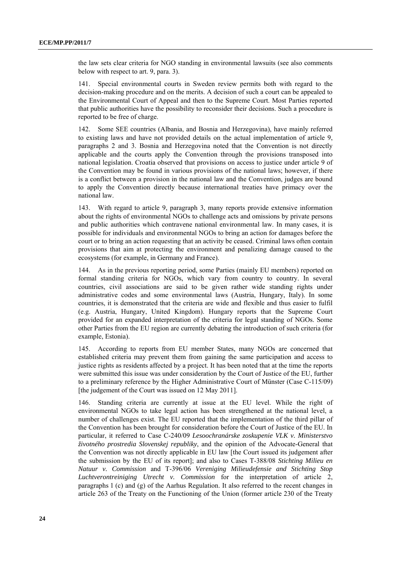the law sets clear criteria for NGO standing in environmental lawsuits (see also comments below with respect to art. 9, para. 3).

141. Special environmental courts in Sweden review permits both with regard to the decision-making procedure and on the merits. A decision of such a court can be appealed to the Environmental Court of Appeal and then to the Supreme Court. Most Parties reported that public authorities have the possibility to reconsider their decisions. Such a procedure is reported to be free of charge.

142. Some SEE countries (Albania, and Bosnia and Herzegovina), have mainly referred to existing laws and have not provided details on the actual implementation of article 9, paragraphs 2 and 3. Bosnia and Herzegovina noted that the Convention is not directly applicable and the courts apply the Convention through the provisions transposed into national legislation. Croatia observed that provisions on access to justice under article 9 of the Convention may be found in various provisions of the national laws; however, if there is a conflict between a provision in the national law and the Convention, judges are bound to apply the Convention directly because international treaties have primacy over the national law.

143. With regard to article 9, paragraph 3, many reports provide extensive information about the rights of environmental NGOs to challenge acts and omissions by private persons and public authorities which contravene national environmental law. In many cases, it is possible for individuals and environmental NGOs to bring an action for damages before the court or to bring an action requesting that an activity be ceased. Criminal laws often contain provisions that aim at protecting the environment and penalizing damage caused to the ecosystems (for example, in Germany and France).

144. As in the previous reporting period, some Parties (mainly EU members) reported on formal standing criteria for NGOs, which vary from country to country. In several countries, civil associations are said to be given rather wide standing rights under administrative codes and some environmental laws (Austria, Hungary, Italy). In some countries, it is demonstrated that the criteria are wide and flexible and thus easier to fulfil (e.g. Austria, Hungary, United Kingdom). Hungary reports that the Supreme Court provided for an expanded interpretation of the criteria for legal standing of NGOs. Some other Parties from the EU region are currently debating the introduction of such criteria (for example, Estonia).

145. According to reports from EU member States, many NGOs are concerned that established criteria may prevent them from gaining the same participation and access to justice rights as residents affected by a project. It has been noted that at the time the reports were submitted this issue was under consideration by the Court of Justice of the EU, further to a preliminary reference by the Higher Administrative Court of Münster (Case C-115/09) [the judgement of the Court was issued on 12 May 2011].

146. Standing criteria are currently at issue at the EU level. While the right of environmental NGOs to take legal action has been strengthened at the national level, a number of challenges exist. The EU reported that the implementation of the third pillar of the Convention has been brought for consideration before the Court of Justice of the EU. In particular, it referred to Case C-240/09 *Lesoochranárske zoskupenie VLK v. Ministerstvo životného prostredia Slovenskej republiky*, and the opinion of the Advocate-General that the Convention was not directly applicable in EU law [the Court issued its judgement after the submission by the EU of its report]; and also to Cases T-388/08 *Stichting Milieu en Natuur v. Commission* and T-396/06 *Vereniging Milieudefensie and Stichting Stop Luchtverontreiniging Utrecht v. Commission* for the interpretation of article 2, paragraphs 1 (c) and (g) of the Aarhus Regulation. It also referred to the recent changes in article 263 of the Treaty on the Functioning of the Union (former article 230 of the Treaty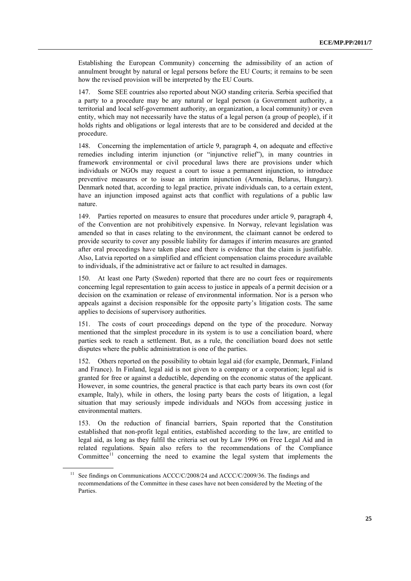Establishing the European Community) concerning the admissibility of an action of annulment brought by natural or legal persons before the EU Courts; it remains to be seen how the revised provision will be interpreted by the EU Courts.

147. Some SEE countries also reported about NGO standing criteria. Serbia specified that a party to a procedure may be any natural or legal person (a Government authority, a territorial and local self-government authority, an organization, a local community) or even entity, which may not necessarily have the status of a legal person (a group of people), if it holds rights and obligations or legal interests that are to be considered and decided at the procedure.

148. Concerning the implementation of article 9, paragraph 4, on adequate and effective remedies including interim injunction (or "injunctive relief"), in many countries in framework environmental or civil procedural laws there are provisions under which individuals or NGOs may request a court to issue a permanent injunction, to introduce preventive measures or to issue an interim injunction (Armenia, Belarus, Hungary). Denmark noted that, according to legal practice, private individuals can, to a certain extent, have an injunction imposed against acts that conflict with regulations of a public law nature.

149. Parties reported on measures to ensure that procedures under article 9, paragraph 4, of the Convention are not prohibitively expensive. In Norway, relevant legislation was amended so that in cases relating to the environment, the claimant cannot be ordered to provide security to cover any possible liability for damages if interim measures are granted after oral proceedings have taken place and there is evidence that the claim is justifiable. Also, Latvia reported on a simplified and efficient compensation claims procedure available to individuals, if the administrative act or failure to act resulted in damages.

At least one Party (Sweden) reported that there are no court fees or requirements concerning legal representation to gain access to justice in appeals of a permit decision or a decision on the examination or release of environmental information. Nor is a person who appeals against a decision responsible for the opposite party's litigation costs. The same applies to decisions of supervisory authorities.

151. The costs of court proceedings depend on the type of the procedure. Norway mentioned that the simplest procedure in its system is to use a conciliation board, where parties seek to reach a settlement. But, as a rule, the conciliation board does not settle disputes where the public administration is one of the parties.

152. Others reported on the possibility to obtain legal aid (for example, Denmark, Finland and France). In Finland, legal aid is not given to a company or a corporation; legal aid is granted for free or against a deductible, depending on the economic status of the applicant. However, in some countries, the general practice is that each party bears its own cost (for example, Italy), while in others, the losing party bears the costs of litigation, a legal situation that may seriously impede individuals and NGOs from accessing justice in environmental matters.

153. On the reduction of financial barriers, Spain reported that the Constitution established that non-profit legal entities, established according to the law, are entitled to legal aid, as long as they fulfil the criteria set out by Law 1996 on Free Legal Aid and in related regulations. Spain also refers to the recommendations of the Compliance Committee<sup>[11](#page-24-0)</sup> concerning the need to examine the legal system that implements the

<span id="page-24-0"></span> $11$  See findings on Communications ACCC/C/2008/24 and ACCC/C/2009/36. The findings and recommendations of the Committee in these cases have not been considered by the Meeting of the **Parties**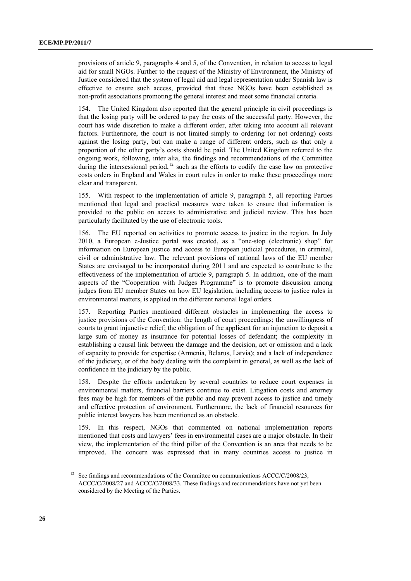provisions of article 9, paragraphs 4 and 5, of the Convention, in relation to access to legal aid for small NGOs. Further to the request of the Ministry of Environment, the Ministry of Justice considered that the system of legal aid and legal representation under Spanish law is effective to ensure such access, provided that these NGOs have been established as non-profit associations promoting the general interest and meet some financial criteria.

154. The United Kingdom also reported that the general principle in civil proceedings is that the losing party will be ordered to pay the costs of the successful party. However, the court has wide discretion to make a different order, after taking into account all relevant factors. Furthermore, the court is not limited simply to ordering (or not ordering) costs against the losing party, but can make a range of different orders, such as that only a proportion of the other party's costs should be paid. The United Kingdom referred to the ongoing work, following, inter alia, the findings and recommendations of the Committee during the intersessional period,<sup>[12](#page-25-0)</sup> such as the efforts to codify the case law on protective costs orders in England and Wales in court rules in order to make these proceedings more clear and transparent.

155. With respect to the implementation of article 9, paragraph 5, all reporting Parties mentioned that legal and practical measures were taken to ensure that information is provided to the public on access to administrative and judicial review. This has been particularly facilitated by the use of electronic tools.

156. The EU reported on activities to promote access to justice in the region. In July 2010, a European e-Justice portal was created, as a "one-stop (electronic) shop" for information on European justice and access to European judicial procedures, in criminal, civil or administrative law. The relevant provisions of national laws of the EU member States are envisaged to be incorporated during 2011 and are expected to contribute to the effectiveness of the implementation of article 9, paragraph 5. In addition, one of the main aspects of the "Cooperation with Judges Programme" is to promote discussion among judges from EU member States on how EU legislation, including access to justice rules in environmental matters, is applied in the different national legal orders.

157. Reporting Parties mentioned different obstacles in implementing the access to justice provisions of the Convention: the length of court proceedings; the unwillingness of courts to grant injunctive relief; the obligation of the applicant for an injunction to deposit a large sum of money as insurance for potential losses of defendant; the complexity in establishing a causal link between the damage and the decision, act or omission and a lack of capacity to provide for expertise (Armenia, Belarus, Latvia); and a lack of independence of the judiciary, or of the body dealing with the complaint in general, as well as the lack of confidence in the judiciary by the public.

158. Despite the efforts undertaken by several countries to reduce court expenses in environmental matters, financial barriers continue to exist. Litigation costs and attorney fees may be high for members of the public and may prevent access to justice and timely and effective protection of environment. Furthermore, the lack of financial resources for public interest lawyers has been mentioned as an obstacle.

159. In this respect, NGOs that commented on national implementation reports mentioned that costs and lawyers' fees in environmental cases are a major obstacle. In their view, the implementation of the third pillar of the Convention is an area that needs to be improved. The concern was expressed that in many countries access to justice in

<span id="page-25-0"></span><sup>&</sup>lt;sup>12</sup> See findings and recommendations of the Committee on communications  $ACCC/C/2008/23$ , ACCC/C/2008/27 and ACCC/C/2008/33. These findings and recommendations have not yet been considered by the Meeting of the Parties.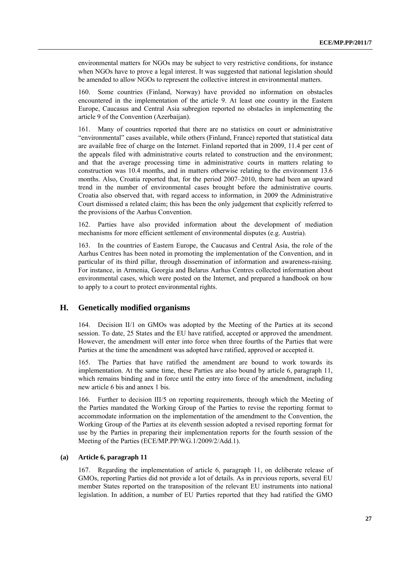environmental matters for NGOs may be subject to very restrictive conditions, for instance when NGOs have to prove a legal interest. It was suggested that national legislation should be amended to allow NGOs to represent the collective interest in environmental matters.

160. Some countries (Finland, Norway) have provided no information on obstacles encountered in the implementation of the article 9. At least one country in the Eastern Europe, Caucasus and Central Asia subregion reported no obstacles in implementing the article 9 of the Convention (Azerbaijan).

161. Many of countries reported that there are no statistics on court or administrative "environmental" cases available, while others (Finland, France) reported that statistical data are available free of charge on the Internet. Finland reported that in 2009, 11.4 per cent of the appeals filed with administrative courts related to construction and the environment; and that the average processing time in administrative courts in matters relating to construction was 10.4 months, and in matters otherwise relating to the environment 13.6 months. Also, Croatia reported that, for the period 2007–2010, there had been an upward trend in the number of environmental cases brought before the administrative courts. Croatia also observed that, with regard access to information, in 2009 the Administrative Court dismissed a related claim; this has been the only judgement that explicitly referred to the provisions of the Aarhus Convention.

162. Parties have also provided information about the development of mediation mechanisms for more efficient settlement of environmental disputes (e.g. Austria).

163. In the countries of Eastern Europe, the Caucasus and Central Asia, the role of the Aarhus Centres has been noted in promoting the implementation of the Convention, and in particular of its third pillar, through dissemination of information and awareness-raising. For instance, in Armenia, Georgia and Belarus Aarhus Centres collected information about environmental cases, which were posted on the Internet, and prepared a handbook on how to apply to a court to protect environmental rights.

### **H. Genetically modified organisms**

164. Decision II/1 on GMOs was adopted by the Meeting of the Parties at its second session. To date, 25 States and the EU have ratified, accepted or approved the amendment. However, the amendment will enter into force when three fourths of the Parties that were Parties at the time the amendment was adopted have ratified, approved or accepted it.

165. The Parties that have ratified the amendment are bound to work towards its implementation. At the same time, these Parties are also bound by article 6, paragraph 11, which remains binding and in force until the entry into force of the amendment, including new article 6 bis and annex 1 bis.

166. Further to decision III/5 on reporting requirements, through which the Meeting of the Parties mandated the Working Group of the Parties to revise the reporting format to accommodate information on the implementation of the amendment to the Convention, the Working Group of the Parties at its eleventh session adopted a revised reporting format for use by the Parties in preparing their implementation reports for the fourth session of the Meeting of the Parties (ECE/MP.PP/WG.1/2009/2/Add.1).

## **(a) Article 6, paragraph 11**

167. Regarding the implementation of article 6, paragraph 11, on deliberate release of GMOs, reporting Parties did not provide a lot of details. As in previous reports, several EU member States reported on the transposition of the relevant EU instruments into national legislation. In addition, a number of EU Parties reported that they had ratified the GMO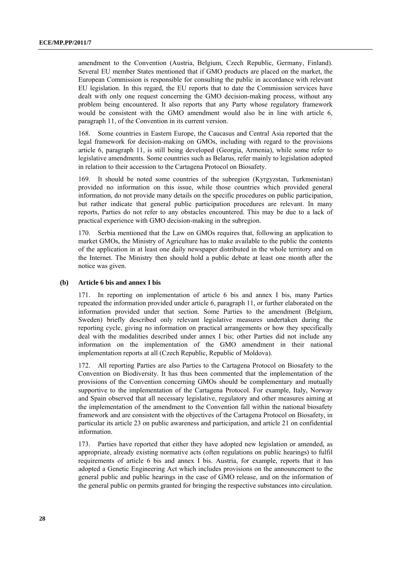amendment to the Convention (Austria, Belgium, Czech Republic, Germany, Finland). Several EU member States mentioned that if GMO products are placed on the market, the European Commission is responsible for consulting the public in accordance with relevant EU legislation. In this regard, the EU reports that to date the Commission services have dealt with only one request concerning the GMO decision-making process, without any problem being encountered. It also reports that any Party whose regulatory framework would be consistent with the GMO amendment would also be in line with article 6, paragraph 11, of the Convention in its current version.

168. Some countries in Eastern Europe, the Caucasus and Central Asia reported that the legal framework for decision-making on GMOs, including with regard to the provisions article 6, paragraph 11, is still being developed (Georgia, Armenia), while some refer to legislative amendments. Some countries such as Belarus, refer mainly to legislation adopted in relation to their accession to the Cartagena Protocol on Biosafety.

169. It should be noted some countries of the subregion (Kyrgyzstan, Turkmenistan) provided no information on this issue, while those countries which provided general information, do not provide many details on the specific procedures on public participation, but rather indicate that general public participation procedures are relevant. In many reports, Parties do not refer to any obstacles encountered. This may be due to a lack of practical experience with GMO decision-making in the subregion.

170. Serbia mentioned that the Law on GMOs requires that, following an application to market GMOs, the Ministry of Agriculture has to make available to the public the contents of the application in at least one daily newspaper distributed in the whole territory and on the Internet. The Ministry then should hold a public debate at least one month after the notice was given.

#### **(b) Article 6 bis and annex I bis**

171. In reporting on implementation of article 6 bis and annex I bis, many Parties repeated the information provided under article 6, paragraph 11, or further elaborated on the information provided under that section. Some Parties to the amendment (Belgium, Sweden) briefly described only relevant legislative measures undertaken during the reporting cycle, giving no information on practical arrangements or how they specifically deal with the modalities described under annex I bis; other Parties did not include any information on the implementation of the GMO amendment in their national implementation reports at all (Czech Republic, Republic of Moldova).

172. All reporting Parties are also Parties to the Cartagena Protocol on Biosafety to the Convention on Biodiversity. It has thus been commented that the implementation of the provisions of the Convention concerning GMOs should be complementary and mutually supportive to the implementation of the Cartagena Protocol. For example, Italy, Norway and Spain observed that all necessary legislative, regulatory and other measures aiming at the implementation of the amendment to the Convention fall within the national biosafety framework and are consistent with the objectives of the Cartagena Protocol on Biosafety, in particular its article 23 on public awareness and participation, and article 21 on confidential information.

173. Parties have reported that either they have adopted new legislation or amended, as appropriate, already existing normative acts (often regulations on public hearings) to fulfil requirements of article 6 bis and annex I bis. Austria, for example, reports that it has adopted a Genetic Engineering Act which includes provisions on the announcement to the general public and public hearings in the case of GMO release, and on the information of the general public on permits granted for bringing the respective substances into circulation.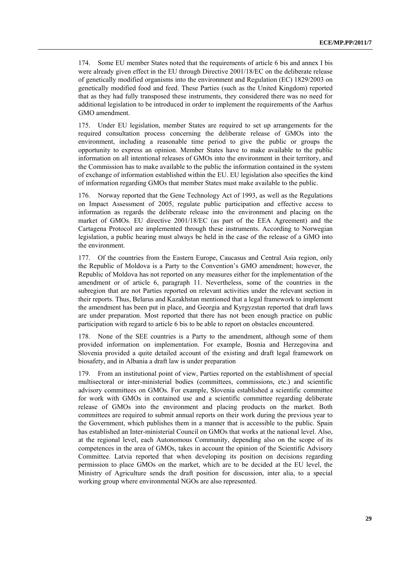174. Some EU member States noted that the requirements of article 6 bis and annex I bis were already given effect in the EU through Directive 2001/18/EC on the deliberate release of genetically modified organisms into the environment and Regulation (EC) 1829/2003 on genetically modified food and feed. These Parties (such as the United Kingdom) reported that as they had fully transposed these instruments, they considered there was no need for additional legislation to be introduced in order to implement the requirements of the Aarhus GMO amendment.

175. Under EU legislation, member States are required to set up arrangements for the required consultation process concerning the deliberate release of GMOs into the environment, including a reasonable time period to give the public or groups the opportunity to express an opinion. Member States have to make available to the public information on all intentional releases of GMOs into the environment in their territory, and the Commission has to make available to the public the information contained in the system of exchange of information established within the EU. EU legislation also specifies the kind of information regarding GMOs that member States must make available to the public.

176. Norway reported that the Gene Technology Act of 1993, as well as the Regulations on Impact Assessment of 2005, regulate public participation and effective access to information as regards the deliberate release into the environment and placing on the market of GMOs. EU directive 2001/18/EC (as part of the EEA Agreement) and the Cartagena Protocol are implemented through these instruments. According to Norwegian legislation, a public hearing must always be held in the case of the release of a GMO into the environment.

177. Of the countries from the Eastern Europe, Caucasus and Central Asia region, only the Republic of Moldova is a Party to the Convention's GMO amendment; however, the Republic of Moldova has not reported on any measures either for the implementation of the amendment or of article 6, paragraph 11. Nevertheless, some of the countries in the subregion that are not Parties reported on relevant activities under the relevant section in their reports. Thus, Belarus and Kazakhstan mentioned that a legal framework to implement the amendment has been put in place, and Georgia and Kyrgyzstan reported that draft laws are under preparation. Most reported that there has not been enough practice on public participation with regard to article 6 bis to be able to report on obstacles encountered.

178. None of the SEE countries is a Party to the amendment, although some of them provided information on implementation. For example, Bosnia and Herzegovina and Slovenia provided a quite detailed account of the existing and draft legal framework on biosafety, and in Albania a draft law is under preparation

179. From an institutional point of view, Parties reported on the establishment of special multisectoral or inter-ministerial bodies (committees, commissions, etc.) and scientific advisory committees on GMOs. For example, Slovenia established a scientific committee for work with GMOs in contained use and a scientific committee regarding deliberate release of GMOs into the environment and placing products on the market. Both committees are required to submit annual reports on their work during the previous year to the Government, which publishes them in a manner that is accessible to the public. Spain has established an Inter-ministerial Council on GMOs that works at the national level. Also, at the regional level, each Autonomous Community, depending also on the scope of its competences in the area of GMOs, takes in account the opinion of the Scientific Advisory Committee. Latvia reported that when developing its position on decisions regarding permission to place GMOs on the market, which are to be decided at the EU level, the Ministry of Agriculture sends the draft position for discussion, inter alia, to a special working group where environmental NGOs are also represented.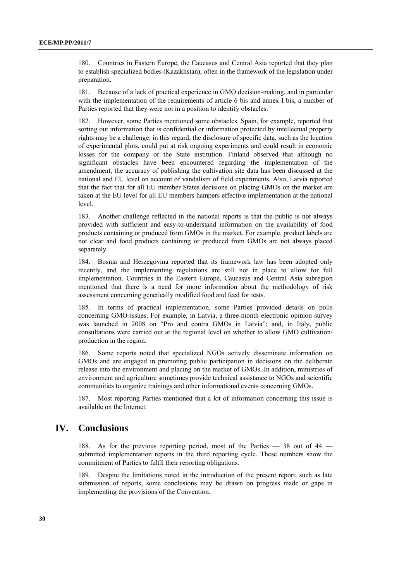180. Countries in Eastern Europe, the Caucasus and Central Asia reported that they plan to establish specialized bodies (Kazakhstan), often in the framework of the legislation under preparation.

181. Because of a lack of practical experience in GMO decision-making, and in particular with the implementation of the requirements of article 6 bis and annex I bis, a number of Parties reported that they were not in a position to identify obstacles.

182. However, some Parties mentioned some obstacles. Spain, for example, reported that sorting out information that is confidential or information protected by intellectual property rights may be a challenge; in this regard, the disclosure of specific data, such as the location of experimental plots, could put at risk ongoing experiments and could result in economic losses for the company or the State institution. Finland observed that although no significant obstacles have been encountered regarding the implementation of the amendment, the accuracy of publishing the cultivation site data has been discussed at the national and EU level on account of vandalism of field experiments. Also, Latvia reported that the fact that for all EU member States decisions on placing GMOs on the market are taken at the EU level for all EU members hampers effective implementation at the national level.

183. Another challenge reflected in the national reports is that the public is not always provided with sufficient and easy-to-understand information on the availability of food products containing or produced from GMOs in the market. For example, product labels are not clear and food products containing or produced from GMOs are not always placed separately.

184. Bosnia and Herzegovina reported that its framework law has been adopted only recently, and the implementing regulations are still not in place to allow for full implementation. Countries in the Eastern Europe, Caucasus and Central Asia subregion mentioned that there is a need for more information about the methodology of risk assessment concerning genetically modified food and feed for tests.

185. In terms of practical implementation, some Parties provided details on polls concerning GMO issues. For example, in Latvia, a three-month electronic opinion survey was launched in 2008 on "Pro and contra GMOs in Latvia"; and, in Italy, public consultations were carried out at the regional level on whether to allow GMO cultivation/ production in the region.

186. Some reports noted that specialized NGOs actively disseminate information on GMOs and are engaged in promoting public participation in decisions on the deliberate release into the environment and placing on the market of GMOs. In addition, ministries of environment and agriculture sometimes provide technical assistance to NGOs and scientific communities to organize trainings and other informational events concerning GMOs.

Most reporting Parties mentioned that a lot of information concerning this issue is available on the Internet.

## **IV. Conclusions**

188. As for the previous reporting period, most of the Parties — 38 out of 44 submitted implementation reports in the third reporting cycle. These numbers show the commitment of Parties to fulfil their reporting obligations.

189. Despite the limitations noted in the introduction of the present report, such as late submission of reports, some conclusions may be drawn on progress made or gaps in implementing the provisions of the Convention.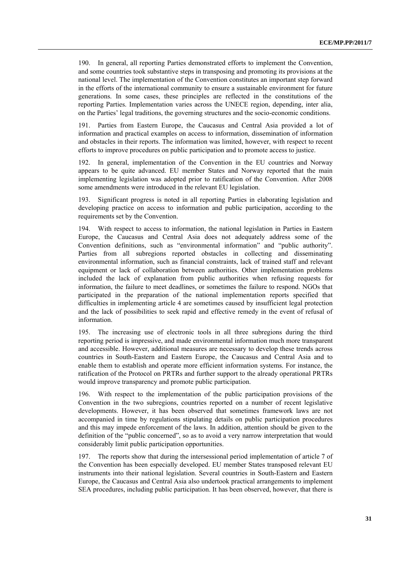190. In general, all reporting Parties demonstrated efforts to implement the Convention, and some countries took substantive steps in transposing and promoting its provisions at the national level. The implementation of the Convention constitutes an important step forward in the efforts of the international community to ensure a sustainable environment for future generations. In some cases, these principles are reflected in the constitutions of the reporting Parties. Implementation varies across the UNECE region, depending, inter alia, on the Parties' legal traditions, the governing structures and the socio-economic conditions.

191. Parties from Eastern Europe, the Caucasus and Central Asia provided a lot of information and practical examples on access to information, dissemination of information and obstacles in their reports. The information was limited, however, with respect to recent efforts to improve procedures on public participation and to promote access to justice.

192. In general, implementation of the Convention in the EU countries and Norway appears to be quite advanced. EU member States and Norway reported that the main implementing legislation was adopted prior to ratification of the Convention. After 2008 some amendments were introduced in the relevant EU legislation.

193. Significant progress is noted in all reporting Parties in elaborating legislation and developing practice on access to information and public participation, according to the requirements set by the Convention.

194. With respect to access to information, the national legislation in Parties in Eastern Europe, the Caucasus and Central Asia does not adequately address some of the Convention definitions, such as "environmental information" and "public authority". Parties from all subregions reported obstacles in collecting and disseminating environmental information, such as financial constraints, lack of trained staff and relevant equipment or lack of collaboration between authorities. Other implementation problems included the lack of explanation from public authorities when refusing requests for information, the failure to meet deadlines, or sometimes the failure to respond. NGOs that participated in the preparation of the national implementation reports specified that difficulties in implementing article 4 are sometimes caused by insufficient legal protection and the lack of possibilities to seek rapid and effective remedy in the event of refusal of information.

195. The increasing use of electronic tools in all three subregions during the third reporting period is impressive, and made environmental information much more transparent and accessible. However, additional measures are necessary to develop these trends across countries in South-Eastern and Eastern Europe, the Caucasus and Central Asia and to enable them to establish and operate more efficient information systems. For instance, the ratification of the Protocol on PRTRs and further support to the already operational PRTRs would improve transparency and promote public participation.

196. With respect to the implementation of the public participation provisions of the Convention in the two subregions, countries reported on a number of recent legislative developments. However, it has been observed that sometimes framework laws are not accompanied in time by regulations stipulating details on public participation procedures and this may impede enforcement of the laws. In addition, attention should be given to the definition of the "public concerned", so as to avoid a very narrow interpretation that would considerably limit public participation opportunities.

197. The reports show that during the intersessional period implementation of article 7 of the Convention has been especially developed. EU member States transposed relevant EU instruments into their national legislation. Several countries in South-Eastern and Eastern Europe, the Caucasus and Central Asia also undertook practical arrangements to implement SEA procedures, including public participation. It has been observed, however, that there is